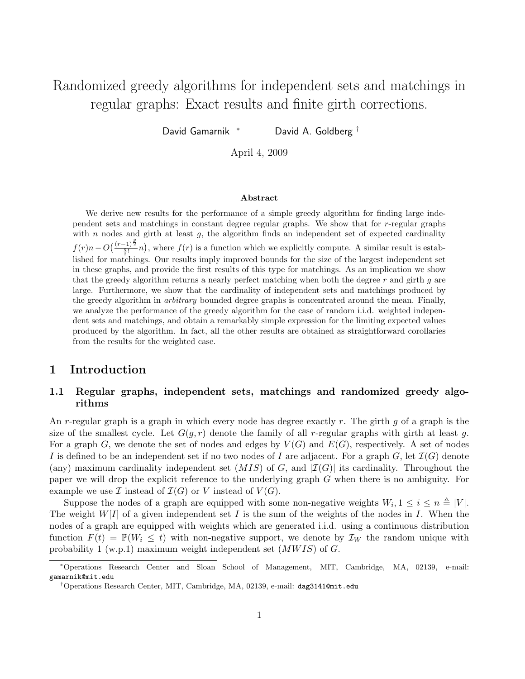# Randomized greedy algorithms for independent sets and matchings in regular graphs: Exact results and finite girth corrections.

David Gamarnik <sup>\*</sup> David A. Goldberg<sup>†</sup>

April 4, 2009

#### Abstract

We derive new results for the performance of a simple greedy algorithm for finding large independent sets and matchings in constant degree regular graphs. We show that for r-regular graphs with  $n$  nodes and girth at least  $g$ , the algorithm finds an independent set of expected cardinality  $f(r)n-O(\frac{(r-1)^{\frac{q}{2}}}{\frac{q}{2}!}n)$ , where  $f(r)$  is a function which we explicitly compute. A similar result is established for matchings. Our results imply improved bounds for the size of the largest independent set in these graphs, and provide the first results of this type for matchings. As an implication we show that the greedy algorithm returns a nearly perfect matching when both the degree r and girth g are large. Furthermore, we show that the cardinality of independent sets and matchings produced by the greedy algorithm in *arbitrary* bounded degree graphs is concentrated around the mean. Finally, we analyze the performance of the greedy algorithm for the case of random i.i.d. weighted independent sets and matchings, and obtain a remarkably simple expression for the limiting expected values produced by the algorithm. In fact, all the other results are obtained as straightforward corollaries from the results for the weighted case.

# 1 Introduction

### 1.1 Regular graphs, independent sets, matchings and randomized greedy algorithms

An r-regular graph is a graph in which every node has degree exactly r. The girth g of a graph is the size of the smallest cycle. Let  $G(g, r)$  denote the family of all r-regular graphs with girth at least g. For a graph G, we denote the set of nodes and edges by  $V(G)$  and  $E(G)$ , respectively. A set of nodes I is defined to be an independent set if no two nodes of I are adjacent. For a graph  $G$ , let  $\mathcal{I}(G)$  denote (any) maximum cardinality independent set  $(MIS)$  of G, and  $|\mathcal{I}(G)|$  its cardinality. Throughout the paper we will drop the explicit reference to the underlying graph G when there is no ambiguity. For example we use  $\mathcal I$  instead of  $\mathcal I(G)$  or V instead of  $V(G)$ .

Suppose the nodes of a graph are equipped with some non-negative weights  $W_i, 1 \leq i \leq n \triangleq |V|$ . The weight  $W[I]$  of a given independent set I is the sum of the weights of the nodes in I. When the nodes of a graph are equipped with weights which are generated i.i.d. using a continuous distribution function  $F(t) = \mathbb{P}(W_i \leq t)$  with non-negative support, we denote by  $\mathcal{I}_W$  the random unique with probability 1 (w.p.1) maximum weight independent set  $(MWIS)$  of  $G$ .

<sup>∗</sup>Operations Research Center and Sloan School of Management, MIT, Cambridge, MA, 02139, e-mail: gamarnik@mit.edu

<sup>†</sup>Operations Research Center, MIT, Cambridge, MA, 02139, e-mail: dag3141@mit.edu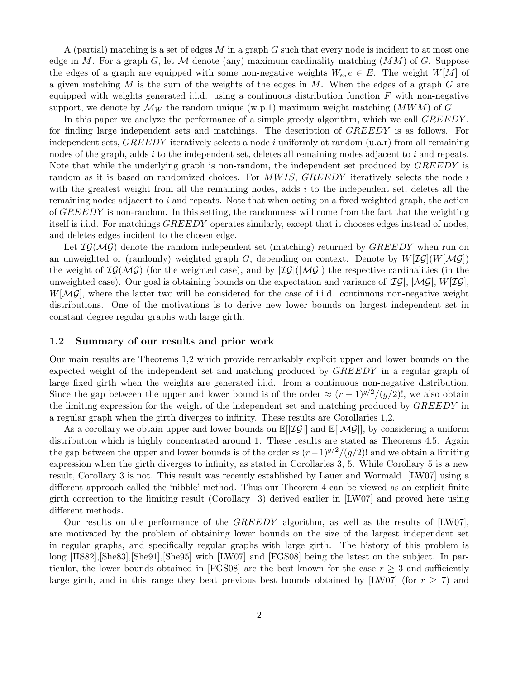A (partial) matching is a set of edges  $M$  in a graph  $G$  such that every node is incident to at most one edge in M. For a graph G, let M denote (any) maximum cardinality matching  $(MM)$  of G. Suppose the edges of a graph are equipped with some non-negative weights  $W_e, e \in E$ . The weight  $W[M]$  of a given matching  $M$  is the sum of the weights of the edges in  $M$ . When the edges of a graph  $G$  are equipped with weights generated i.i.d. using a continuous distribution function  $F$  with non-negative support, we denote by  $\mathcal{M}_W$  the random unique (w.p.1) maximum weight matching (MWM) of G.

In this paper we analyze the performance of a simple greedy algorithm, which we call  $GREEDY$ , for finding large independent sets and matchings. The description of GREEDY is as follows. For independent sets, GREEDY iteratively selects a node i uniformly at random (u.a.r) from all remaining nodes of the graph, adds  $i$  to the independent set, deletes all remaining nodes adjacent to  $i$  and repeats. Note that while the underlying graph is non-random, the independent set produced by GREEDY is random as it is based on randomized choices. For MWIS, GREEDY iteratively selects the node i with the greatest weight from all the remaining nodes, adds  $i$  to the independent set, deletes all the remaining nodes adjacent to i and repeats. Note that when acting on a fixed weighted graph, the action of GREEDY is non-random. In this setting, the randomness will come from the fact that the weighting itself is i.i.d. For matchings GREEDY operates similarly, except that it chooses edges instead of nodes, and deletes edges incident to the chosen edge.

Let  $IG(MG)$  denote the random independent set (matching) returned by  $GREEDY$  when run on an unweighted or (randomly) weighted graph G, depending on context. Denote by  $W[\mathcal{IG}](W[\mathcal{MG}])$ the weight of  $IG(MG)$  (for the weighted case), and by  $|IG|(|MG|)$  the respective cardinalities (in the unweighted case). Our goal is obtaining bounds on the expectation and variance of  $|\mathcal{IG}|, |\mathcal{MG}|, W[\mathcal{IG}]$ ,  $W[\mathcal{MG}]$ , where the latter two will be considered for the case of i.i.d. continuous non-negative weight distributions. One of the motivations is to derive new lower bounds on largest independent set in constant degree regular graphs with large girth.

#### 1.2 Summary of our results and prior work

Our main results are Theorems 1,2 which provide remarkably explicit upper and lower bounds on the expected weight of the independent set and matching produced by GREEDY in a regular graph of large fixed girth when the weights are generated i.i.d. from a continuous non-negative distribution. Since the gap between the upper and lower bound is of the order  $\approx (r-1)^{g/2}/(g/2)!$ , we also obtain the limiting expression for the weight of the independent set and matching produced by GREEDY in a regular graph when the girth diverges to infinity. These results are Corollaries 1,2.

As a corollary we obtain upper and lower bounds on  $\mathbb{E}[\mathcal{IG}]$  and  $\mathbb{E}[\mathcal{MG}]$ , by considering a uniform distribution which is highly concentrated around 1. These results are stated as Theorems 4,5. Again the gap between the upper and lower bounds is of the order  $\approx (r-1)^{g/2}/(g/2)!$  and we obtain a limiting expression when the girth diverges to infinity, as stated in Corollaries 3, 5. While Corollary 5 is a new result, Corollary 3 is not. This result was recently established by Lauer and Wormald [LW07] using a different approach called the 'nibble' method. Thus our Theorem 4 can be viewed as an explicit finite girth correction to the limiting result (Corollary 3) derived earlier in [LW07] and proved here using different methods.

Our results on the performance of the GREEDY algorithm, as well as the results of [LW07], are motivated by the problem of obtaining lower bounds on the size of the largest independent set in regular graphs, and specifically regular graphs with large girth. The history of this problem is long [HS82],[She83],[She91],[She95] with [LW07] and [FGS08] being the latest on the subject. In particular, the lower bounds obtained in [FGS08] are the best known for the case  $r \geq 3$  and sufficiently large girth, and in this range they beat previous best bounds obtained by [LW07] (for  $r \geq 7$ ) and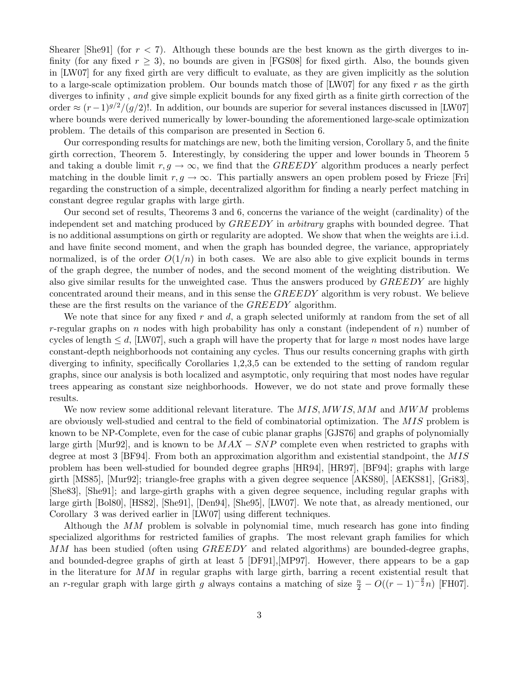Shearer [She91] (for  $r < 7$ ). Although these bounds are the best known as the girth diverges to infinity (for any fixed  $r \geq 3$ ), no bounds are given in [FGS08] for fixed girth. Also, the bounds given in [LW07] for any fixed girth are very difficult to evaluate, as they are given implicitly as the solution to a large-scale optimization problem. Our bounds match those of  $[LW07]$  for any fixed r as the girth diverges to infinity , and give simple explicit bounds for any fixed girth as a finite girth correction of the order  $\approx (r-1)^{g/2}/(g/2)!$ . In addition, our bounds are superior for several instances discussed in [LW07] where bounds were derived numerically by lower-bounding the aforementioned large-scale optimization problem. The details of this comparison are presented in Section 6.

Our corresponding results for matchings are new, both the limiting version, Corollary 5, and the finite girth correction, Theorem 5. Interestingly, by considering the upper and lower bounds in Theorem 5 and taking a double limit  $r, g \to \infty$ , we find that the GREEDY algorithm produces a nearly perfect matching in the double limit  $r, g \to \infty$ . This partially answers an open problem posed by Frieze [Fri] regarding the construction of a simple, decentralized algorithm for finding a nearly perfect matching in constant degree regular graphs with large girth.

Our second set of results, Theorems 3 and 6, concerns the variance of the weight (cardinality) of the independent set and matching produced by *GREEDY* in *arbitrary* graphs with bounded degree. That is no additional assumptions on girth or regularity are adopted. We show that when the weights are i.i.d. and have finite second moment, and when the graph has bounded degree, the variance, appropriately normalized, is of the order  $O(1/n)$  in both cases. We are also able to give explicit bounds in terms of the graph degree, the number of nodes, and the second moment of the weighting distribution. We also give similar results for the unweighted case. Thus the answers produced by GREEDY are highly concentrated around their means, and in this sense the GREEDY algorithm is very robust. We believe these are the first results on the variance of the *GREEDY* algorithm.

We note that since for any fixed  $r$  and  $d$ , a graph selected uniformly at random from the set of all r-regular graphs on n nodes with high probability has only a constant (independent of n) number of cycles of length  $\leq d$ , [LW07], such a graph will have the property that for large n most nodes have large constant-depth neighborhoods not containing any cycles. Thus our results concerning graphs with girth diverging to infinity, specifically Corollaries 1,2,3,5 can be extended to the setting of random regular graphs, since our analysis is both localized and asymptotic, only requiring that most nodes have regular trees appearing as constant size neighborhoods. However, we do not state and prove formally these results.

We now review some additional relevant literature. The MIS, MWIS, MM and MWM problems are obviously well-studied and central to the field of combinatorial optimization. The MIS problem is known to be NP-Complete, even for the case of cubic planar graphs [GJS76] and graphs of polynomially large girth [Mur92], and is known to be  $MAX - SNP$  complete even when restricted to graphs with degree at most 3 [BF94]. From both an approximation algorithm and existential standpoint, the MIS problem has been well-studied for bounded degree graphs [HR94], [HR97], [BF94]; graphs with large girth [MS85], [Mur92]; triangle-free graphs with a given degree sequence [AKS80], [AEKS81], [Gri83], [She83], [She91]; and large-girth graphs with a given degree sequence, including regular graphs with large girth [Bol80], [HS82], [She91], [Den94], [She95], [LW07]. We note that, as already mentioned, our Corollary 3 was derived earlier in [LW07] using different techniques.

Although the MM problem is solvable in polynomial time, much research has gone into finding specialized algorithms for restricted families of graphs. The most relevant graph families for which MM has been studied (often using GREEDY and related algorithms) are bounded-degree graphs, and bounded-degree graphs of girth at least 5 [DF91],[MP97]. However, there appears to be a gap in the literature for MM in regular graphs with large girth, barring a recent existential result that an r-regular graph with large girth g always contains a matching of size  $\frac{n}{2} - O((r-1)^{-\frac{g}{2}}n)$  [FH07].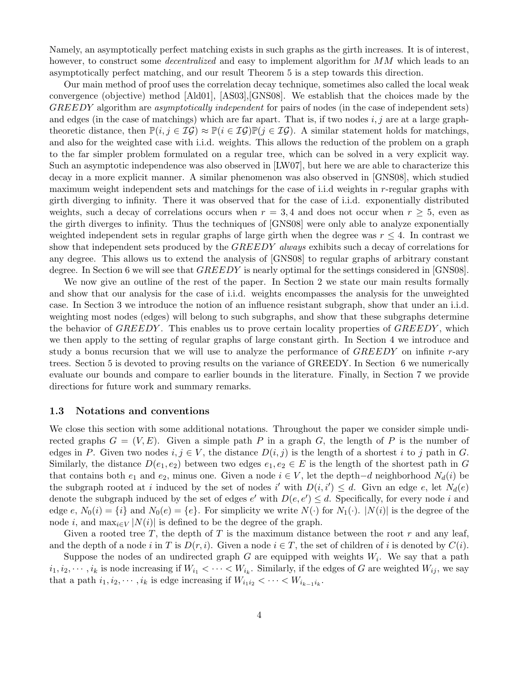Namely, an asymptotically perfect matching exists in such graphs as the girth increases. It is of interest, however, to construct some *decentralized* and easy to implement algorithm for MM which leads to an asymptotically perfect matching, and our result Theorem 5 is a step towards this direction.

Our main method of proof uses the correlation decay technique, sometimes also called the local weak convergence (objective) method [Ald01], [AS03],[GNS08]. We establish that the choices made by the GREEDY algorithm are *asymptotically independent* for pairs of nodes (in the case of independent sets) and edges (in the case of matchings) which are far apart. That is, if two nodes i, j are at a large graphtheoretic distance, then  $\mathbb{P}(i, j \in \mathcal{IG}) \approx \mathbb{P}(i \in \mathcal{IG})\mathbb{P}(j \in \mathcal{IG})$ . A similar statement holds for matchings, and also for the weighted case with i.i.d. weights. This allows the reduction of the problem on a graph to the far simpler problem formulated on a regular tree, which can be solved in a very explicit way. Such an asymptotic independence was also observed in [LW07], but here we are able to characterize this decay in a more explicit manner. A similar phenomenon was also observed in [GNS08], which studied maximum weight independent sets and matchings for the case of i.i.d weights in  $r$ -regular graphs with girth diverging to infinity. There it was observed that for the case of i.i.d. exponentially distributed weights, such a decay of correlations occurs when  $r = 3, 4$  and does not occur when  $r \geq 5$ , even as the girth diverges to infinity. Thus the techniques of [GNS08] were only able to analyze exponentially weighted independent sets in regular graphs of large girth when the degree was  $r \leq 4$ . In contrast we show that independent sets produced by the GREEDY always exhibits such a decay of correlations for any degree. This allows us to extend the analysis of [GNS08] to regular graphs of arbitrary constant degree. In Section 6 we will see that *GREEDY* is nearly optimal for the settings considered in [GNS08].

We now give an outline of the rest of the paper. In Section 2 we state our main results formally and show that our analysis for the case of i.i.d. weights encompasses the analysis for the unweighted case. In Section 3 we introduce the notion of an influence resistant subgraph, show that under an i.i.d. weighting most nodes (edges) will belong to such subgraphs, and show that these subgraphs determine the behavior of GREEDY. This enables us to prove certain locality properties of GREEDY, which we then apply to the setting of regular graphs of large constant girth. In Section 4 we introduce and study a bonus recursion that we will use to analyze the performance of GREEDY on infinite r-ary trees. Section 5 is devoted to proving results on the variance of GREEDY. In Section 6 we numerically evaluate our bounds and compare to earlier bounds in the literature. Finally, in Section 7 we provide directions for future work and summary remarks.

#### 1.3 Notations and conventions

We close this section with some additional notations. Throughout the paper we consider simple undirected graphs  $G = (V, E)$ . Given a simple path P in a graph G, the length of P is the number of edges in P. Given two nodes  $i, j \in V$ , the distance  $D(i, j)$  is the length of a shortest i to j path in G. Similarly, the distance  $D(e_1, e_2)$  between two edges  $e_1, e_2 \in E$  is the length of the shortest path in G that contains both  $e_1$  and  $e_2$ , minus one. Given a node  $i \in V$ , let the depth–d neighborhood  $N_d(i)$  be the subgraph rooted at i induced by the set of nodes i' with  $D(i, i') \leq d$ . Givn an edge e, let  $N_d(e)$ denote the subgraph induced by the set of edges  $e'$  with  $D(e, e') \leq d$ . Specifically, for every node i and edge e,  $N_0(i) = \{i\}$  and  $N_0(e) = \{e\}$ . For simplicity we write  $N(\cdot)$  for  $N_1(\cdot)$ .  $|N(i)|$  is the degree of the node i, and  $\max_{i \in V} |N(i)|$  is defined to be the degree of the graph.

Given a rooted tree T, the depth of T is the maximum distance between the root  $r$  and any leaf, and the depth of a node i in T is  $D(r, i)$ . Given a node  $i \in T$ , the set of children of i is denoted by  $C(i)$ .

Suppose the nodes of an undirected graph  $G$  are equipped with weights  $W_i$ . We say that a path  $i_1, i_2, \dots, i_k$  is node increasing if  $W_{i_1} < \dots < W_{i_k}$ . Similarly, if the edges of G are weighted  $W_{ij}$ , we say that a path  $i_1, i_2, \dots, i_k$  is edge increasing if  $W_{i_1 i_2} < \dots < W_{i_{k-1} i_k}$ .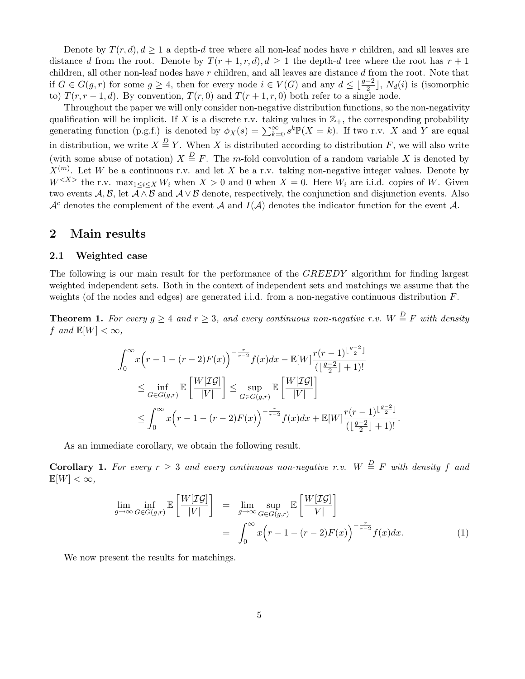Denote by  $T(r, d), d \geq 1$  a depth-d tree where all non-leaf nodes have r children, and all leaves are distance d from the root. Denote by  $T(r+1, r, d), d \geq 1$  the depth-d tree where the root has  $r+1$ children, all other non-leaf nodes have r children, and all leaves are distance d from the root. Note that if  $G \in G(g,r)$  for some  $g \geq 4$ , then for every node  $i \in V(G)$  and any  $d \leq \lfloor \frac{g-2}{2} \rfloor$ ,  $N_d(i)$  is (isomorphic to)  $T(r, r-1, d)$ . By convention,  $T(r, 0)$  and  $T(r+1, r, 0)$  both refer to a single node.

Throughout the paper we will only consider non-negative distribution functions, so the non-negativity qualification will be implicit. If X is a discrete r.v. taking values in  $\mathbb{Z}_+$ , the corresponding probability generating function (p.g.f.) is denoted by  $\phi_X(s) = \sum_{k=0}^{\infty} s^k \mathbb{P}(X = k)$ . If two r.v. X and Y are equal in distribution, we write  $X \stackrel{D}{=} Y$ . When X is distributed according to distribution F, we will also write (with some abuse of notation)  $X \stackrel{D}{=} F$ . The m-fold convolution of a random variable X is denoted by  $X^{(m)}$ . Let W be a continuous r.v. and let X be a r.v. taking non-negative integer values. Denote by  $W^{}$  the r.v.  $\max_{1 \leq i \leq X} W_i$  when  $X > 0$  and 0 when  $X = 0$ . Here  $W_i$  are i.i.d. copies of W. Given two events  $\mathcal{A}, \mathcal{B}$ , let  $\mathcal{A} \wedge \mathcal{B}$  and  $\mathcal{A} \vee \mathcal{B}$  denote, respectively, the conjunction and disjunction events. Also  $\mathcal{A}^c$  denotes the complement of the event A and  $I(\mathcal{A})$  denotes the indicator function for the event A.

### 2 Main results

#### 2.1 Weighted case

The following is our main result for the performance of the *GREEDY* algorithm for finding largest weighted independent sets. Both in the context of independent sets and matchings we assume that the weights (of the nodes and edges) are generated i.i.d. from a non-negative continuous distribution F.

**Theorem 1.** For every  $g \ge 4$  and  $r \ge 3$ , and every continuous non-negative r.v.  $W \stackrel{D}{=} F$  with density f and  $\mathbb{E}[W] < \infty$ ,

$$
\int_0^\infty x \Big( r - 1 - (r - 2)F(x) \Big)^{-\frac{r}{r-2}} f(x) dx - \mathbb{E}[W] \frac{r(r - 1)^{\lfloor \frac{g-2}{2} \rfloor}}{\left( \lfloor \frac{g-2}{2} \rfloor + 1 \right)!}
$$
\n
$$
\leq \inf_{G \in G(g,r)} \mathbb{E} \left[ \frac{W[\mathcal{IG}]}{|V|} \right] \leq \sup_{G \in G(g,r)} \mathbb{E} \left[ \frac{W[\mathcal{IG}]}{|V|} \right]
$$
\n
$$
\leq \int_0^\infty x \Big( r - 1 - (r - 2)F(x) \Big)^{-\frac{r}{r-2}} f(x) dx + \mathbb{E}[W] \frac{r(r - 1)^{\lfloor \frac{g-2}{2} \rfloor}}{\left( \lfloor \frac{g-2}{2} \rfloor + 1 \right)!}.
$$

As an immediate corollary, we obtain the following result.

**Corollary 1.** For every  $r \geq 3$  and every continuous non-negative r.v.  $W = F$  with density f and  $\mathbb{E}[W]<\infty$ ,

$$
\lim_{g \to \infty} \inf_{G \in G(g,r)} \mathbb{E}\left[\frac{W[\mathcal{IG}]}{|V|}\right] = \lim_{g \to \infty} \sup_{G \in G(g,r)} \mathbb{E}\left[\frac{W[\mathcal{IG}]}{|V|}\right]
$$
\n
$$
= \int_0^\infty x \left(r - 1 - (r - 2)F(x)\right)^{-\frac{r}{r-2}} f(x) dx. \tag{1}
$$

We now present the results for matchings.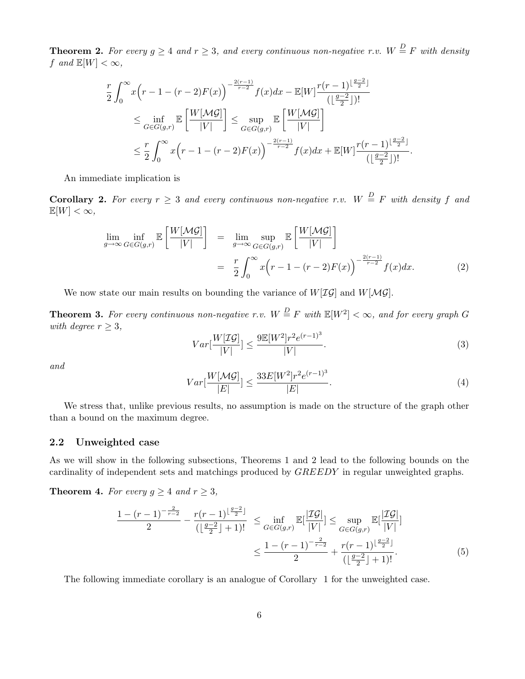**Theorem 2.** For every  $g \ge 4$  and  $r \ge 3$ , and every continuous non-negative r.v.  $W \stackrel{D}{=} F$  with density f and  $\mathbb{E}[W] < \infty$ ,

$$
\frac{r}{2} \int_0^\infty x \Big( r - 1 - (r - 2)F(x) \Big)^{-\frac{2(r-1)}{r-2}} f(x) dx - \mathbb{E}[W] \frac{r(r-1)^{\frac{2}{2}}}{\left(\frac{g-2}{2}\right)!}
$$
\n
$$
\leq \inf_{G \in G(g,r)} \mathbb{E}\left[\frac{W[\mathcal{M}\mathcal{G}]}{|V|}\right] \leq \sup_{G \in G(g,r)} \mathbb{E}\left[\frac{W[\mathcal{M}\mathcal{G}]}{|V|}\right]
$$
\n
$$
\leq \frac{r}{2} \int_0^\infty x \Big( r - 1 - (r - 2)F(x) \Big)^{-\frac{2(r-1)}{r-2}} f(x) dx + \mathbb{E}[W] \frac{r(r-1)^{\frac{2}{2}}}{\left(\frac{g-2}{2}\right)!}.
$$

An immediate implication is

**Corollary 2.** For every  $r \geq 3$  and every continuous non-negative r.v.  $W \stackrel{D}{=} F$  with density f and  $\mathbb{E}[W]<\infty,$ 

$$
\lim_{g \to \infty} \inf_{G \in G(g,r)} \mathbb{E}\left[\frac{W[\mathcal{M}\mathcal{G}]}{|V|}\right] = \lim_{g \to \infty} \sup_{G \in G(g,r)} \mathbb{E}\left[\frac{W[\mathcal{M}\mathcal{G}]}{|V|}\right]
$$
\n
$$
= \frac{r}{2} \int_0^\infty x \left(r - 1 - (r - 2)F(x)\right)^{-\frac{2(r-1)}{r-2}} f(x) dx. \tag{2}
$$

We now state our main results on bounding the variance of  $W[\mathcal{IG}]$  and  $W[\mathcal{MG}]$ .

**Theorem 3.** For every continuous non-negative r.v.  $W \stackrel{D}{=} F$  with  $\mathbb{E}[W^2] < \infty$ , and for every graph G with degree  $r \geq 3$ ,

$$
Var\left[\frac{W[\mathcal{IG}]}{|V|}\right] \le \frac{9\mathbb{E}[W^2]r^2e^{(r-1)^3}}{|V|}.
$$
\n
$$
(3)
$$

and

$$
Var\left[\frac{W[\mathcal{MG}]}{|E|}\right] \le \frac{33E[W^2]r^2e^{(r-1)^3}}{|E|}.
$$
\n
$$
(4)
$$

We stress that, unlike previous results, no assumption is made on the structure of the graph other than a bound on the maximum degree.

#### 2.2 Unweighted case

As we will show in the following subsections, Theorems 1 and 2 lead to the following bounds on the cardinality of independent sets and matchings produced by GREEDY in regular unweighted graphs.

**Theorem 4.** For every  $g \geq 4$  and  $r \geq 3$ ,

$$
\frac{1 - (r - 1)^{-\frac{2}{r-2}}}{2} - \frac{r(r - 1)^{\lfloor \frac{g-2}{2} \rfloor}}{\left(\lfloor \frac{g-2}{2} \rfloor + 1\right)!} \leq \inf_{G \in G(g,r)} \mathbb{E}\left[\frac{|\mathcal{IG}|}{|V|}\right] \leq \sup_{G \in G(g,r)} \mathbb{E}\left[\frac{|\mathcal{IG}|}{|V|}\right]
$$

$$
\leq \frac{1 - (r - 1)^{-\frac{2}{r-2}}}{2} + \frac{r(r - 1)^{\lfloor \frac{g-2}{2} \rfloor}}{\left(\lfloor \frac{g-2}{2} \rfloor + 1\right)!}.
$$
(5)

The following immediate corollary is an analogue of Corollary 1 for the unweighted case.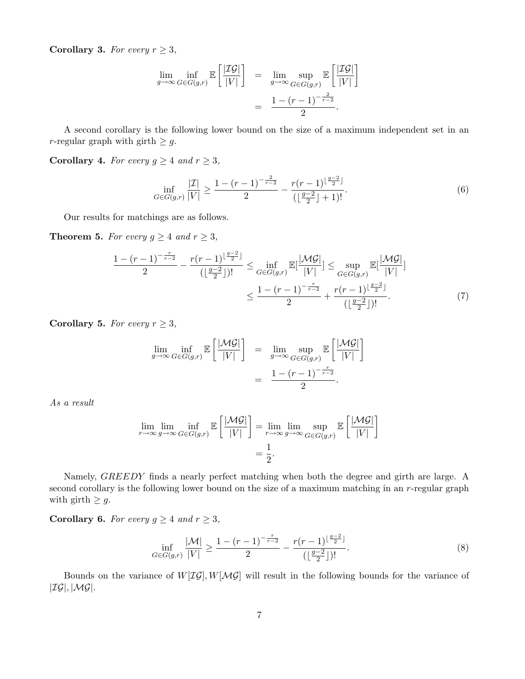Corollary 3. For every  $r \geq 3$ ,

$$
\lim_{g \to \infty} \inf_{G \in G(g,r)} \mathbb{E}\left[\frac{|\mathcal{IG}|}{|V|}\right] = \lim_{g \to \infty} \sup_{G \in G(g,r)} \mathbb{E}\left[\frac{|\mathcal{IG}|}{|V|}\right]
$$

$$
= \frac{1 - (r - 1)^{-\frac{2}{r - 2}}}{2}.
$$

A second corollary is the following lower bound on the size of a maximum independent set in an r-regular graph with girth  $\geq g$ .

**Corollary 4.** For every  $g \geq 4$  and  $r \geq 3$ ,

$$
\inf_{G \in G(g,r)} \frac{|\mathcal{I}|}{|V|} \ge \frac{1 - (r-1)^{-\frac{2}{r-2}}}{2} - \frac{r(r-1)^{\lfloor \frac{g-2}{2} \rfloor}}{\left(\lfloor \frac{g-2}{2} \rfloor + 1\right)!}.
$$
\n(6)

Our results for matchings are as follows.

**Theorem 5.** For every  $g \geq 4$  and  $r \geq 3$ ,

$$
\frac{1 - (r - 1)^{-\frac{r}{r - 2}}}{2} - \frac{r(r - 1)^{\lfloor \frac{g - 2}{2} \rfloor}}{\left(\lfloor \frac{g - 2}{2} \rfloor\right)!} \le \inf_{G \in G(g,r)} \mathbb{E}[\frac{|\mathcal{MG}|}{|V|}] \le \sup_{G \in G(g,r)} \mathbb{E}[\frac{|\mathcal{MG}|}{|V|}]
$$

$$
\le \frac{1 - (r - 1)^{-\frac{r}{r - 2}}}{2} + \frac{r(r - 1)^{\lfloor \frac{g - 2}{2} \rfloor}}{\left(\lfloor \frac{g - 2}{2} \rfloor\right)!}.
$$
(7)

Corollary 5. For every  $r \geq 3$ ,

$$
\lim_{g \to \infty} \inf_{G \in G(g,r)} \mathbb{E}\left[\frac{|\mathcal{MG}|}{|V|}\right] = \lim_{g \to \infty} \sup_{G \in G(g,r)} \mathbb{E}\left[\frac{|\mathcal{MG}|}{|V|}\right]
$$

$$
= \frac{1 - (r - 1)^{-\frac{r}{r - 2}}}{2}.
$$

As a result

$$
\lim_{r \to \infty} \lim_{g \to \infty} \inf_{G \in G(g,r)} \mathbb{E}\left[\frac{|\mathcal{MG}|}{|V|}\right] = \lim_{r \to \infty} \lim_{g \to \infty} \sup_{G \in G(g,r)} \mathbb{E}\left[\frac{|\mathcal{MG}|}{|V|}\right]
$$

$$
= \frac{1}{2}.
$$

Namely, GREEDY finds a nearly perfect matching when both the degree and girth are large. A second corollary is the following lower bound on the size of a maximum matching in an r-regular graph with girth  $\geq g$ .

Corollary 6. For every  $g \geq 4$  and  $r \geq 3$ ,

$$
\inf_{G \in G(g,r)} \frac{|\mathcal{M}|}{|V|} \ge \frac{1 - (r-1)^{-\frac{r}{r-2}}}{2} - \frac{r(r-1)^{\lfloor \frac{g-2}{2} \rfloor}}{\left(\lfloor \frac{g-2}{2} \rfloor\right)!}.
$$
\n(8)

Bounds on the variance of  $W[\mathcal{IG}], W[\mathcal{MG}]$  will result in the following bounds for the variance of  $|\mathcal{IG}|, |\mathcal{MG}|.$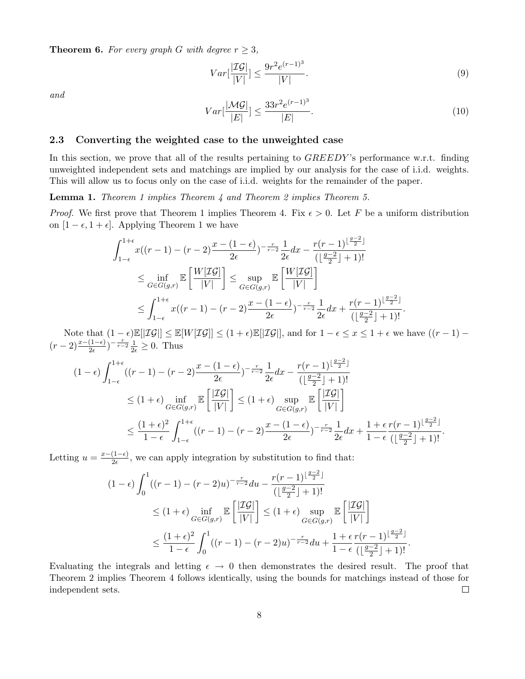**Theorem 6.** For every graph G with degree  $r \geq 3$ ,

$$
Var\left[\frac{|\mathcal{IG}|}{|V|}\right] \le \frac{9r^2e^{(r-1)^3}}{|V|}.\tag{9}
$$

and

$$
Var\left[\frac{|\mathcal{MG}|}{|E|}\right] \le \frac{33r^2e^{(r-1)^3}}{|E|}.\tag{10}
$$

g−2

#### 2.3 Converting the weighted case to the unweighted case

In this section, we prove that all of the results pertaining to  $GREEDY$ 's performance w.r.t. finding unweighted independent sets and matchings are implied by our analysis for the case of i.i.d. weights. This will allow us to focus only on the case of i.i.d. weights for the remainder of the paper.

**Lemma 1.** Theorem 1 implies Theorem 4 and Theorem 2 implies Theorem 5.

*Proof.* We first prove that Theorem 1 implies Theorem 4. Fix  $\epsilon > 0$ . Let F be a uniform distribution on  $[1 - \epsilon, 1 + \epsilon]$ . Applying Theorem 1 we have

$$
\int_{1-\epsilon}^{1+\epsilon} x((r-1)-(r-2)\frac{x-(1-\epsilon)}{2\epsilon})^{-\frac{r}{r-2}}\frac{1}{2\epsilon}dx - \frac{r(r-1)^{\lfloor \frac{g-2}{2} \rfloor}}{\left(\lfloor \frac{g-2}{2} \rfloor + 1\right)!}
$$
\n
$$
\leq \inf_{G \in G(g,r)} \mathbb{E}\left[\frac{W[\mathcal{IG}]}{|V|}\right] \leq \sup_{G \in G(g,r)} \mathbb{E}\left[\frac{W[\mathcal{IG}]}{|V|}\right]
$$
\n
$$
\leq \int_{1-\epsilon}^{1+\epsilon} x((r-1)-(r-2)\frac{x-(1-\epsilon)}{2\epsilon})^{-\frac{r}{r-2}}\frac{1}{2\epsilon}dx + \frac{r(r-1)^{\lfloor \frac{g-2}{2} \rfloor}}{\left(\lfloor \frac{g-2}{2} \rfloor + 1\right)!}.
$$

Note that  $(1 - \epsilon) \mathbb{E}[|\mathcal{IG}|] \leq \mathbb{E}[W[\mathcal{IG}]] \leq (1 + \epsilon) \mathbb{E}[|\mathcal{IG}|]$ , and for  $1 - \epsilon \leq x \leq 1 + \epsilon$  we have  $((r - 1) - \epsilon)$  $(r-2)\frac{x-(1-\epsilon)}{2\epsilon})^{-\frac{r}{r-2}}\frac{1}{2\epsilon}\geq 0.$  Thus

$$
(1 - \epsilon) \int_{1-\epsilon}^{1+\epsilon} ((r-1) - (r-2) \frac{x - (1-\epsilon)}{2\epsilon})^{-\frac{r}{r-2}} \frac{1}{2\epsilon} dx - \frac{r(r-1)^{\lfloor \frac{g-2}{2} \rfloor}}{\left(\lfloor \frac{g-2}{2} \rfloor + 1\right)!}
$$
  
\$\leq (1 + \epsilon) \inf\_{G \in G(g,r)} \mathbb{E}\left[\frac{|\mathcal{IG}|}{|V|}\right] \leq (1+\epsilon) \sup\_{G \in G(g,r)} \mathbb{E}\left[\frac{|\mathcal{IG}|}{|V|}\right] \$  
\$\leq \frac{(1+\epsilon)^2}{1-\epsilon} \int\_{1-\epsilon}^{1+\epsilon} ((r-1) - (r-2) \frac{x - (1-\epsilon)}{2\epsilon})^{-\frac{r}{r-2}} \frac{1}{2\epsilon} dx + \frac{1+\epsilon}{1-\epsilon} \frac{r(r-1)^{\lfloor \frac{g-2}{2} \rfloor}}{\left(\lfloor \frac{g-2}{2} \rfloor + 1\right)!}.

Letting  $u = \frac{x-(1-\epsilon)}{2\epsilon}$  $\frac{(1-\epsilon)}{2\epsilon}$ , we can apply integration by substitution to find that:

$$
(1 - \epsilon) \int_0^1 ((r - 1) - (r - 2)u)^{-\frac{r}{r - 2}} du - \frac{r(r - 1)^{\lfloor \frac{g - 2}{2} \rfloor}}{\left(\lfloor \frac{g - 2}{2} \rfloor + 1\right)!}
$$
  
\$\leq (1 + \epsilon) \inf\_{G \in G(g,r)} \mathbb{E}\left[\frac{|\mathcal{IG}|}{|V|}\right] \leq (1 + \epsilon) \sup\_{G \in G(g,r)} \mathbb{E}\left[\frac{|\mathcal{IG}|}{|V|}\right] \$  
\$\leq \frac{(1 + \epsilon)^2}{1 - \epsilon} \int\_0^1 ((r - 1) - (r - 2)u)^{-\frac{r}{r - 2}} du + \frac{1 + \epsilon r(r - 1)^{\lfloor \frac{g - 2}{2} \rfloor}}{1 - \epsilon}

Evaluating the integrals and letting  $\epsilon \to 0$  then demonstrates the desired result. The proof that Theorem 2 implies Theorem 4 follows identically, using the bounds for matchings instead of those for  $\Box$ independent sets.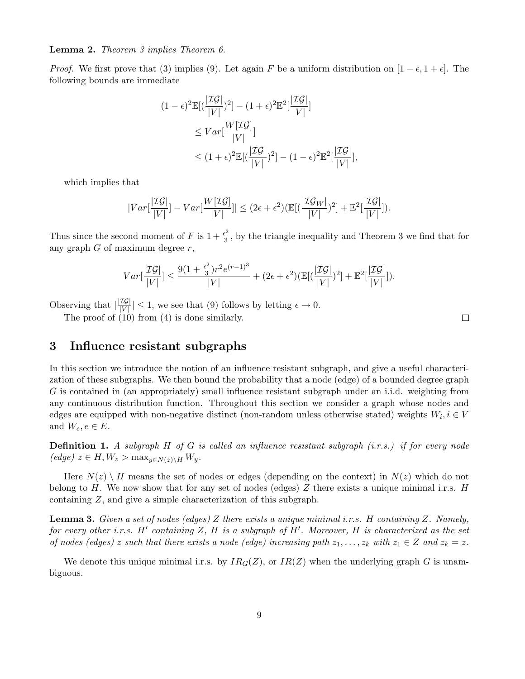Lemma 2. Theorem 3 implies Theorem 6.

*Proof.* We first prove that (3) implies (9). Let again F be a uniform distribution on  $[1 - \epsilon, 1 + \epsilon]$ . The following bounds are immediate

$$
(1 - \epsilon)^2 \mathbb{E}[(\frac{|\mathcal{IG}|}{|V|})^2] - (1 + \epsilon)^2 \mathbb{E}^2[\frac{|\mathcal{IG}|}{|V|}]
$$
  
\n
$$
\leq Var[\frac{W[\mathcal{IG}]}{|V|}]
$$
  
\n
$$
\leq (1 + \epsilon)^2 \mathbb{E}[(\frac{|\mathcal{IG}|}{|V|})^2] - (1 - \epsilon)^2 \mathbb{E}^2[\frac{|\mathcal{IG}|}{|V|}],
$$

which implies that

$$
|Var[\frac{|\mathcal{IG}|}{|V|}] - Var[\frac{W[\mathcal{IG}]}{|V|}]| \leq (2\epsilon + \epsilon^2)(\mathbb{E}[(\frac{|\mathcal{IG}_W|}{|V|})^2] + \mathbb{E}^2[\frac{|\mathcal{IG}|}{|V|}]).
$$

Thus since the second moment of F is  $1 + \frac{\epsilon^2}{3}$  $\frac{z^2}{3}$ , by the triangle inequality and Theorem 3 we find that for any graph  $G$  of maximum degree  $r$ ,

$$
Var\left[\frac{|\mathcal{IG}|}{|V|}\right] \le \frac{9(1+\frac{\epsilon^2}{3})r^2e^{(r-1)^3}}{|V|} + (2\epsilon+\epsilon^2)(\mathbb{E}[(\frac{|\mathcal{IG}|}{|V|})^2] + \mathbb{E}^2[\frac{|\mathcal{IG}|}{|V|}]).
$$

Observing that  $\frac{|\mathcal{IG}|}{|V|}$  $\frac{|\mathcal{L} \mathcal{G}|}{|V|} \leq 1$ , we see that (9) follows by letting  $\epsilon \to 0$ .

The proof of (10) from (4) is done similarly.

3 Influence resistant subgraphs

In this section we introduce the notion of an influence resistant subgraph, and give a useful characterization of these subgraphs. We then bound the probability that a node (edge) of a bounded degree graph G is contained in (an appropriately) small influence resistant subgraph under an i.i.d. weighting from any continuous distribution function. Throughout this section we consider a graph whose nodes and edges are equipped with non-negative distinct (non-random unless otherwise stated) weights  $W_i, i \in V$ and  $W_e, e \in E$ .

**Definition 1.** A subgraph H of G is called an influence resistant subgraph  $(i.r.s.)$  if for every node  $\text{(edge)}\ z \in H, W_z > \max_{y \in N(z) \backslash H} W_y.$ 

Here  $N(z) \setminus H$  means the set of nodes or edges (depending on the context) in  $N(z)$  which do not belong to H. We now show that for any set of nodes (edges) Z there exists a unique minimal i.r.s. H containing Z, and give a simple characterization of this subgraph.

**Lemma 3.** Given a set of nodes (edges) Z there exists a unique minimal i.r.s. H containing Z. Namely, for every other i.r.s.  $H'$  containing Z, H is a subgraph of  $H'$ . Moreover, H is characterized as the set of nodes (edges) z such that there exists a node (edge) increasing path  $z_1, \ldots, z_k$  with  $z_1 \in Z$  and  $z_k = z$ .

We denote this unique minimal i.r.s. by  $IR_G(Z)$ , or  $IR(Z)$  when the underlying graph G is unambiguous.

 $\Box$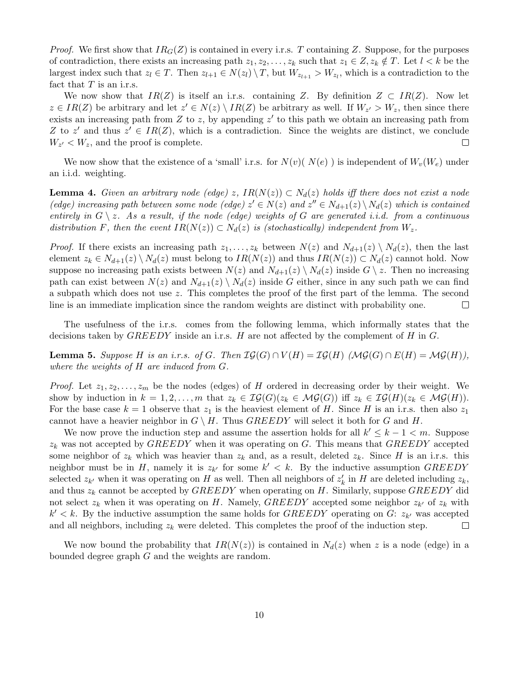*Proof.* We first show that  $IR_G(Z)$  is contained in every i.r.s. T containing Z. Suppose, for the purposes of contradiction, there exists an increasing path  $z_1, z_2, \ldots, z_k$  such that  $z_1 \in Z, z_k \notin T$ . Let  $l < k$  be the largest index such that  $z_l \in T$ . Then  $z_{l+1} \in N(z_l) \setminus T$ , but  $W_{z_{l+1}} > W_{z_l}$ , which is a contradiction to the fact that  $T$  is an i.r.s.

We now show that  $IR(Z)$  is itself an i.r.s. containing Z. By definition  $Z \subset IR(Z)$ . Now let  $z \in IR(Z)$  be arbitrary and let  $z' \in N(z) \setminus IR(Z)$  be arbitrary as well. If  $W_{z'} > W_z$ , then since there exists an increasing path from  $Z$  to  $z$ , by appending  $z'$  to this path we obtain an increasing path from Z to z' and thus  $z' \in IR(Z)$ , which is a contradiction. Since the weights are distinct, we conclude  $W_{z'} < W_z$ , and the proof is complete.  $\Box$ 

We now show that the existence of a 'small' i.r.s. for  $N(v)(N(e))$  is independent of  $W_v(W_e)$  under an i.i.d. weighting.

**Lemma 4.** Given an arbitrary node (edge) z,  $IR(N(z)) \subset N_d(z)$  holds iff there does not exist a node (edge) increasing path between some node (edge)  $z' \in N(z)$  and  $z'' \in N_{d+1}(z) \setminus N_d(z)$  which is contained entirely in  $G \setminus z$ . As a result, if the node (edge) weights of G are generated i.i.d. from a continuous distribution F, then the event  $IR(N(z)) \subset N_d(z)$  is (stochastically) independent from  $W_z$ .

*Proof.* If there exists an increasing path  $z_1, \ldots, z_k$  between  $N(z)$  and  $N_{d+1}(z) \setminus N_d(z)$ , then the last element  $z_k \in N_{d+1}(z) \setminus N_d(z)$  must belong to  $IR(N(z))$  and thus  $IR(N(z)) \subset N_d(z)$  cannot hold. Now suppose no increasing path exists between  $N(z)$  and  $N_{d+1}(z) \setminus N_d(z)$  inside  $G \setminus z$ . Then no increasing path can exist between  $N(z)$  and  $N_{d+1}(z) \setminus N_d(z)$  inside G either, since in any such path we can find a subpath which does not use z. This completes the proof of the first part of the lemma. The second line is an immediate implication since the random weights are distinct with probability one.  $\Box$ 

The usefulness of the i.r.s. comes from the following lemma, which informally states that the decisions taken by  $GREEDY$  inside an i.r.s. H are not affected by the complement of H in  $G$ .

**Lemma 5.** Suppose H is an i.r.s. of G. Then  $IG(G) \cap V(H) = IG(H)$  ( $MG(G) \cap E(H) = MG(H)$ ), where the weights of  $H$  are induced from  $G$ .

*Proof.* Let  $z_1, z_2, \ldots, z_m$  be the nodes (edges) of H ordered in decreasing order by their weight. We show by induction in  $k = 1, 2, ..., m$  that  $z_k \in \mathcal{IG}(G)(z_k \in \mathcal{MG}(G))$  iff  $z_k \in \mathcal{IG}(H)(z_k \in \mathcal{MG}(H))$ . For the base case  $k = 1$  observe that  $z_1$  is the heaviest element of H. Since H is an i.r.s. then also  $z_1$ cannot have a heavier neighbor in  $G \setminus H$ . Thus GREEDY will select it both for G and H.

We now prove the induction step and assume the assertion holds for all  $k' \leq k-1 < m$ . Suppose  $z_k$  was not accepted by GREEDY when it was operating on G. This means that GREEDY accepted some neighbor of  $z_k$  which was heavier than  $z_k$  and, as a result, deleted  $z_k$ . Since H is an i.r.s. this neighbor must be in H, namely it is  $z_{k'}$  for some  $k' < k$ . By the inductive assumption GREEDY selected  $z_{k'}$  when it was operating on H as well. Then all neighbors of  $z'_{k}$  in H are deleted including  $z_{k}$ , and thus  $z_k$  cannot be accepted by  $GREEDY$  when operating on H. Similarly, suppose  $GREEDY$  did not select  $z_k$  when it was operating on H. Namely,  $GREEDY$  accepted some neighbor  $z_{k'}$  of  $z_k$  with  $k' < k$ . By the inductive assumption the same holds for GREEDY operating on G:  $z_{k'}$  was accepted and all neighbors, including  $z_k$  were deleted. This completes the proof of the induction step.  $\Box$ 

We now bound the probability that  $IR(N(z))$  is contained in  $N_d(z)$  when z is a node (edge) in a bounded degree graph G and the weights are random.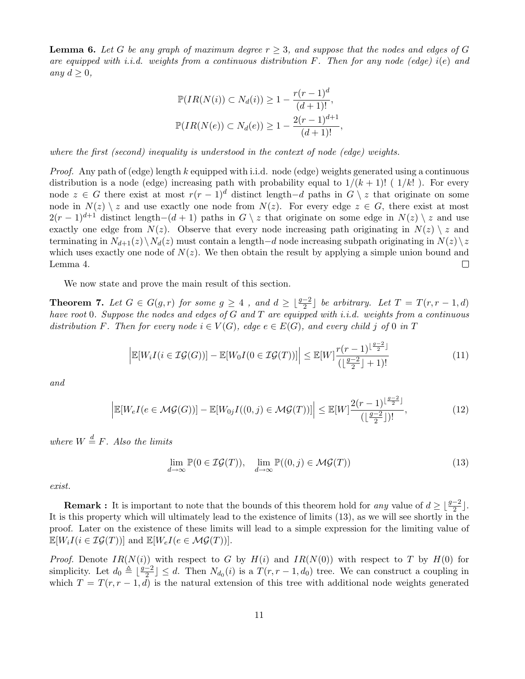**Lemma 6.** Let G be any graph of maximum degree  $r \geq 3$ , and suppose that the nodes and edges of G are equipped with i.i.d. weights from a continuous distribution F. Then for any node (edge)  $i(e)$  and any  $d \geq 0$ ,

$$
\mathbb{P}(IR(N(i)) \subset N_d(i)) \ge 1 - \frac{r(r-1)^d}{(d+1)!},
$$
  

$$
\mathbb{P}(IR(N(e)) \subset N_d(e)) \ge 1 - \frac{2(r-1)^{d+1}}{(d+1)!},
$$

where the first (second) inequality is understood in the context of node (edge) weights.

*Proof.* Any path of (edge) length k equipped with i.i.d. node (edge) weights generated using a continuous distribution is a node (edge) increasing path with probability equal to  $1/(k+1)!$  ( $1/k!$ ). For every node  $z \in G$  there exist at most  $r(r-1)^d$  distinct length–d paths in  $G \setminus z$  that originate on some node in  $N(z) \setminus z$  and use exactly one node from  $N(z)$ . For every edge  $z \in G$ , there exist at most  $2(r-1)^{d+1}$  distinct length–(d + 1) paths in  $G \setminus z$  that originate on some edge in  $N(z) \setminus z$  and use exactly one edge from  $N(z)$ . Observe that every node increasing path originating in  $N(z) \setminus z$  and terminating in  $N_{d+1}(z)\backslash N_d(z)$  must contain a length–d node increasing subpath originating in  $N(z)\backslash z$ which uses exactly one node of  $N(z)$ . We then obtain the result by applying a simple union bound and Lemma 4.  $\Box$ 

We now state and prove the main result of this section.

**Theorem 7.** Let  $G \in G(g,r)$  for some  $g \geq 4$ , and  $d \geq \lfloor \frac{g-2}{2} \rfloor$  be arbitrary. Let  $T = T(r, r-1, d)$ have root 0. Suppose the nodes and edges of  $G$  and  $T$  are equipped with i.i.d. weights from a continuous distribution F. Then for every node  $i \in V(G)$ , edge  $e \in E(G)$ , and every child j of 0 in T

$$
\left|\mathbb{E}[W_iI(i \in \mathcal{IG}(G))] - \mathbb{E}[W_0I(0 \in \mathcal{IG}(T))] \right| \leq \mathbb{E}[W] \frac{r(r-1)^{\lfloor \frac{g-2}{2} \rfloor}}{\left(\lfloor \frac{g-2}{2} \rfloor + 1\right)!}
$$
\n(11)

and

$$
\left|\mathbb{E}[W_e I(e \in \mathcal{MG}(G))] - \mathbb{E}[W_{0j} I((0,j) \in \mathcal{MG}(T))] \right| \leq \mathbb{E}[W] \frac{2(r-1)^{\lfloor \frac{g-2}{2} \rfloor}}{\left(\lfloor \frac{g-2}{2} \rfloor\right)!},\tag{12}
$$

where  $W \stackrel{d}{=} F$ . Also the limits

$$
\lim_{d \to \infty} \mathbb{P}(0 \in \mathcal{IG}(T)), \quad \lim_{d \to \infty} \mathbb{P}((0, j) \in \mathcal{MG}(T)) \tag{13}
$$

exist.

**Remark :** It is important to note that the bounds of this theorem hold for *any* value of  $d \geq \lfloor \frac{g-2}{2} \rfloor$ . It is this property which will ultimately lead to the existence of limits (13), as we will see shortly in the proof. Later on the existence of these limits will lead to a simple expression for the limiting value of  $\mathbb{E}[W_iI(i \in \mathcal{IG}(T))]$  and  $\mathbb{E}[W_eI(e \in \mathcal{MG}(T))].$ 

*Proof.* Denote  $IR(N(i))$  with respect to G by  $H(i)$  and  $IR(N(0))$  with respect to T by  $H(0)$  for simplicity. Let  $d_0 \triangleq \lfloor \frac{g-2}{2} \rfloor$  $\left[\frac{-2}{2}\right] \leq d$ . Then  $N_{d_0}(i)$  is a  $T(r, r-1, d_0)$  tree. We can construct a coupling in which  $T = T(r, r - 1, d)$  is the natural extension of this tree with additional node weights generated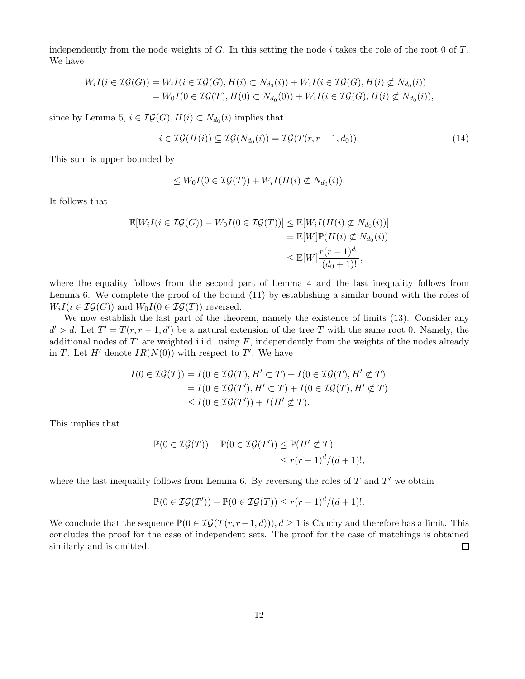independently from the node weights of  $G$ . In this setting the node i takes the role of the root 0 of  $T$ . We have

$$
W_iI(i \in \mathcal{IG}(G)) = W_iI(i \in \mathcal{IG}(G), H(i) \subset N_{d_0}(i)) + W_iI(i \in \mathcal{IG}(G), H(i) \not\subset N_{d_0}(i))
$$
  
= 
$$
W_0I(0 \in \mathcal{IG}(T), H(0) \subset N_{d_0}(0)) + W_iI(i \in \mathcal{IG}(G), H(i) \not\subset N_{d_0}(i)),
$$

since by Lemma 5,  $i \in \mathcal{IG}(G), H(i) \subset N_{d_0}(i)$  implies that

$$
i \in \mathcal{IG}(H(i)) \subseteq \mathcal{IG}(N_{d_0}(i)) = \mathcal{IG}(T(r, r-1, d_0)).
$$
\n(14)

This sum is upper bounded by

$$
\leq W_0I(0 \in \mathcal{IG}(T)) + W_iI(H(i) \not\subset N_{d_0}(i)).
$$

It follows that

$$
\mathbb{E}[W_i I(i \in \mathcal{IG}(G)) - W_0 I(0 \in \mathcal{IG}(T))] \leq \mathbb{E}[W_i I(H(i) \not\subset N_{d_0}(i))]
$$
  
= 
$$
\mathbb{E}[W]\mathbb{P}(H(i) \not\subset N_{d_0}(i))
$$
  

$$
\leq \mathbb{E}[W]\frac{r(r-1)^{d_0}}{(d_0+1)!},
$$

where the equality follows from the second part of Lemma 4 and the last inequality follows from Lemma 6. We complete the proof of the bound (11) by establishing a similar bound with the roles of  $W_iI(i \in \mathcal{IG}(G))$  and  $W_0I(0 \in \mathcal{IG}(T))$  reversed.

We now establish the last part of the theorem, namely the existence of limits (13). Consider any  $d' > d$ . Let  $T' = T(r, r - 1, d')$  be a natural extension of the tree T with the same root 0. Namely, the additional nodes of  $T'$  are weighted i.i.d. using  $F$ , independently from the weights of the nodes already in T. Let H' denote  $IR(N(0))$  with respect to T'. We have

$$
I(0 \in \mathcal{IG}(T)) = I(0 \in \mathcal{IG}(T), H' \subset T) + I(0 \in \mathcal{IG}(T), H' \not\subset T)
$$
  
=  $I(0 \in \mathcal{IG}(T'), H' \subset T) + I(0 \in \mathcal{IG}(T), H' \not\subset T)$   
 $\leq I(0 \in \mathcal{IG}(T')) + I(H' \not\subset T).$ 

This implies that

$$
\mathbb{P}(0 \in \mathcal{IG}(T)) - \mathbb{P}(0 \in \mathcal{IG}(T')) \le \mathbb{P}(H' \not\subset T)
$$
  

$$
\le r(r-1)^d/(d+1)!,
$$

where the last inequality follows from Lemma 6. By reversing the roles of  $T$  and  $T'$  we obtain

$$
\mathbb{P}(0 \in \mathcal{IG}(T')) - \mathbb{P}(0 \in \mathcal{IG}(T)) \le r(r-1)^d/(d+1)!.
$$

We conclude that the sequence  $\mathbb{P}(0 \in \mathcal{IG}(T(r,r-1,d)))$ ,  $d \geq 1$  is Cauchy and therefore has a limit. This concludes the proof for the case of independent sets. The proof for the case of matchings is obtained similarly and is omitted.  $\Box$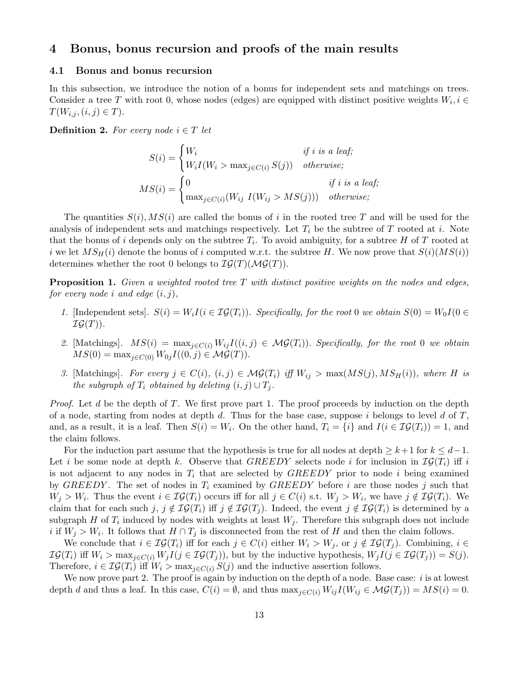# 4 Bonus, bonus recursion and proofs of the main results

#### 4.1 Bonus and bonus recursion

In this subsection, we introduce the notion of a bonus for independent sets and matchings on trees. Consider a tree T with root 0, whose nodes (edges) are equipped with distinct positive weights  $W_i, i \in$  $T(W_{i,j}, (i,j) \in T).$ 

**Definition 2.** For every node  $i \in T$  let

$$
S(i) = \begin{cases} W_i & \text{if } i \text{ is a leaf;} \\ W_i I(W_i > \max_{j \in C(i)} S(j)) & \text{otherwise;} \end{cases}
$$
\n
$$
MS(i) = \begin{cases} 0 & \text{if } i \text{ is a leaf;} \\ \max_{j \in C(i)} (W_{ij} \ I(W_{ij} > MS(j))) & \text{otherwise;} \end{cases}
$$

The quantities  $S(i)$ ,  $MS(i)$  are called the bonus of i in the rooted tree T and will be used for the analysis of independent sets and matchings respectively. Let  $T_i$  be the subtree of T rooted at i. Note that the bonus of i depends only on the subtree  $T_i$ . To avoid ambiguity, for a subtree H of T rooted at i we let  $MS_H(i)$  denote the bonus of i computed w.r.t. the subtree H. We now prove that  $S(i)(MS(i))$ determines whether the root 0 belongs to  $\mathcal{IG}(T)(\mathcal{MG}(T))$ .

**Proposition 1.** Given a weighted rooted tree  $T$  with distinct positive weights on the nodes and edges, for every node i and edge  $(i, j)$ ,

- 1. [Independent sets].  $S(i) = W_i I(i \in \mathcal{IG}(T_i))$ . Specifically, for the root 0 we obtain  $S(0) = W_0 I(0 \in$  $\mathcal{IG}(T)$ ).
- 2. [Matchings].  $MS(i) = \max_{j \in C(i)} W_{ij}I((i, j) \in \mathcal{MG}(T_i))$ . Specifically, for the root 0 we obtain  $MS(0) = \max_{i \in C(0)} W_{0i} I((0, j) \in \mathcal{MG}(T)).$
- 3. [Matchings]. For every  $j \in C(i)$ ,  $(i, j) \in \mathcal{MG}(T_i)$  iff  $W_{ij} > \max(MS(j), MS_H(i))$ , where H is the subgraph of  $T_i$  obtained by deleting  $(i, j) \cup T_j$ .

*Proof.* Let d be the depth of T. We first prove part 1. The proof proceeds by induction on the depth of a node, starting from nodes at depth d. Thus for the base case, suppose i belongs to level d of  $T$ , and, as a result, it is a leaf. Then  $S(i) = W_i$ . On the other hand,  $T_i = \{i\}$  and  $I(i \in \mathcal{IG}(T_i)) = 1$ , and the claim follows.

For the induction part assume that the hypothesis is true for all nodes at depth  $\geq k+1$  for  $k \leq d-1$ . Let i be some node at depth k. Observe that GREEDY selects node i for inclusion in  $\mathcal{IG}(T_i)$  iff i is not adjacent to any nodes in  $T_i$  that are selected by  $GREEDY$  prior to node i being examined by GREEDY. The set of nodes in  $T_i$  examined by GREEDY before i are those nodes j such that  $W_j > W_i$ . Thus the event  $i \in \mathcal{IG}(T_i)$  occurs iff for all  $j \in C(i)$  s.t.  $W_j > W_i$ , we have  $j \notin \mathcal{IG}(T_i)$ . We claim that for each such j,  $j \notin \mathcal{IG}(T_i)$  iff  $j \notin \mathcal{IG}(T_i)$ . Indeed, the event  $j \notin \mathcal{IG}(T_i)$  is determined by a subgraph H of  $T_i$  induced by nodes with weights at least  $W_j$ . Therefore this subgraph does not include i if  $W_j > W_i$ . It follows that  $H \cap T_j$  is disconnected from the rest of H and then the claim follows.

We conclude that  $i \in \mathcal{IG}(T_i)$  iff for each  $j \in C(i)$  either  $W_i > W_j$ , or  $j \notin \mathcal{IG}(T_j)$ . Combining,  $i \in$  $\mathcal{IG}(T_i)$  iff  $W_i > \max_{j \in C(i)} W_j I(j \in \mathcal{IG}(T_j))$ , but by the inductive hypothesis,  $W_j I(j \in \mathcal{IG}(T_j)) = S(j)$ . Therefore,  $i \in \mathcal{IG}(T_i)$  iff  $W_i > \max_{i \in C(i)} S(j)$  and the inductive assertion follows.

We now prove part 2. The proof is again by induction on the depth of a node. Base case:  $i$  is at lowest depth d and thus a leaf. In this case,  $C(i) = \emptyset$ , and thus  $\max_{j \in C(i)} W_{ij}I(W_{ij} \in \mathcal{MG}(T_j)) = MS(i) = 0$ .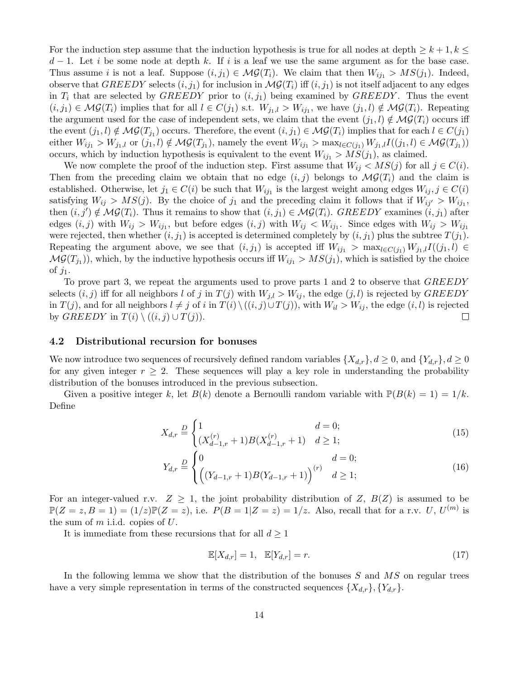For the induction step assume that the induction hypothesis is true for all nodes at depth  $\geq k+1, k \leq 1$  $d-1$ . Let i be some node at depth k. If i is a leaf we use the same argument as for the base case. Thus assume i is not a leaf. Suppose  $(i, j_1) \in \mathcal{MG}(T_i)$ . We claim that then  $W_{ij_1} > MS(j_1)$ . Indeed, observe that GREEDY selects  $(i, j_1)$  for inclusion in  $\mathcal{MG}(T_i)$  iff  $(i, j_1)$  is not itself adjacent to any edges in  $T_i$  that are selected by GREEDY prior to  $(i, j_1)$  being examined by GREEDY. Thus the event  $(i, j_1) \in \mathcal{MG}(T_i)$  implies that for all  $l \in C(j_1)$  s.t.  $W_{j_1,l} > W_{ij_1}$ , we have  $(j_1, l) \notin \mathcal{MG}(T_i)$ . Repeating the argument used for the case of independent sets, we claim that the event  $(j_1, l) \notin \mathcal{MG}(T_i)$  occurs iff the event  $(j_1, l) \notin \mathcal{MG}(T_{j_1})$  occurs. Therefore, the event  $(i, j_1) \in \mathcal{MG}(T_i)$  implies that for each  $l \in C(j_1)$ either  $W_{ij_1} > W_{j_1,l}$  or  $(j_1, l) \notin \mathcal{MG}(T_{j_1})$ , namely the event  $W_{ij_1} > \max_{l \in C(j_1)} W_{j_1,l} I((j_1, l) \in \mathcal{MG}(T_{j_1}))$ occurs, which by induction hypothesis is equivalent to the event  $W_{ij_1} > MS(j_1)$ , as claimed.

We now complete the proof of the induction step. First assume that  $W_{ij} < MS(j)$  for all  $j \in C(i)$ . Then from the preceding claim we obtain that no edge  $(i, j)$  belongs to  $\mathcal{MG}(T_i)$  and the claim is established. Otherwise, let  $j_1 \in C(i)$  be such that  $W_{ij_1}$  is the largest weight among edges  $W_{ij}, j \in C(i)$ satisfying  $W_{ij} > MS(j)$ . By the choice of  $j_1$  and the preceding claim it follows that if  $W_{ij'} > W_{ij_1}$ , then  $(i, j') \notin \mathcal{MG}(T_i)$ . Thus it remains to show that  $(i, j_1) \in \mathcal{MG}(T_i)$ . GREEDY examines  $(i, j_1)$  after edges  $(i, j)$  with  $W_{ij} > W_{ij_1}$ , but before edges  $(i, j)$  with  $W_{ij} < W_{ij_1}$ . Since edges with  $W_{ij} > W_{ij_1}$ were rejected, then whether  $(i, j_1)$  is accepted is determined completely by  $(i, j_1)$  plus the subtree  $T(j_1)$ . Repeating the argument above, we see that  $(i, j_1)$  is accepted iff  $W_{ij_1} > \max_{l \in C(j_1)} W_{j_1,l} I((j_1, l) \in$  $MG(T_{j_1})$ , which, by the inductive hypothesis occurs iff  $W_{ij_1} > MS(j_1)$ , which is satisfied by the choice of  $j_1$ .

To prove part 3, we repeat the arguments used to prove parts 1 and 2 to observe that GREEDY selects  $(i, j)$  iff for all neighbors l of j in  $T(j)$  with  $W_{j,l} > W_{ij}$ , the edge  $(j, l)$  is rejected by GREEDY in  $T(j)$ , and for all neighbors  $l \neq j$  of i in  $T(i) \setminus ((i, j) \cup T(j))$ , with  $W_{il} > W_{ij}$ , the edge  $(i, l)$  is rejected by GREEDY in  $T(i) \setminus ((i, j) \cup T(j)).$  $\Box$ 

#### 4.2 Distributional recursion for bonuses

We now introduce two sequences of recursively defined random variables  $\{X_{d,r}\}, d \geq 0$ , and  $\{Y_{d,r}\}, d \geq 0$ for any given integer  $r \geq 2$ . These sequences will play a key role in understanding the probability distribution of the bonuses introduced in the previous subsection.

Given a positive integer k, let  $B(k)$  denote a Bernoulli random variable with  $\mathbb{P}(B(k) = 1) = 1/k$ . Define

$$
X_{d,r} \stackrel{D}{=} \begin{cases} 1 & d = 0; \\ (X_{d-1,r}^{(r)} + 1)B(X_{d-1,r}^{(r)} + 1) & d \ge 1; \end{cases}
$$
 (15)

$$
Y_{d,r} \stackrel{D}{=} \begin{cases} 0 & d = 0; \\ \left( (Y_{d-1,r} + 1)B(Y_{d-1,r} + 1) \right)^{(r)} & d \ge 1; \end{cases}
$$
 (16)

For an integer-valued r.v.  $Z \geq 1$ , the joint probability distribution of Z,  $B(Z)$  is assumed to be  $\mathbb{P}(Z=z, B=1) = (1/z)\mathbb{P}(Z=z)$ , i.e.  $P(B=1|Z=z) = 1/z$ . Also, recall that for a r.v. U,  $U^{(m)}$  is the sum of  $m$  i.i.d. copies of  $U$ .

It is immediate from these recursions that for all  $d \geq 1$ 

$$
\mathbb{E}[X_{d,r}] = 1, \quad \mathbb{E}[Y_{d,r}] = r. \tag{17}
$$

In the following lemma we show that the distribution of the bonuses  $S$  and  $\overline{MS}$  on regular trees have a very simple representation in terms of the constructed sequences  $\{X_{d,r}\}, \{Y_{d,r}\}.$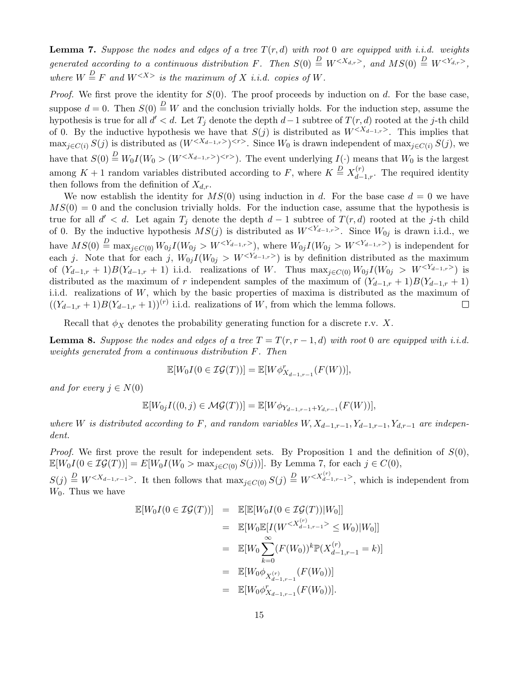**Lemma 7.** Suppose the nodes and edges of a tree  $T(r, d)$  with root 0 are equipped with i.i.d. weights generated according to a continuous distribution F. Then  $S(0) \stackrel{D}{=} W^{}$ , and  $MS(0) \stackrel{D}{=} W^{}$ , where  $W \stackrel{D}{=} F$  and  $W^{}$  is the maximum of X i.i.d. copies of W.

*Proof.* We first prove the identity for  $S(0)$ . The proof proceeds by induction on d. For the base case, suppose  $d = 0$ . Then  $S(0) \stackrel{D}{=} W$  and the conclusion trivially holds. For the induction step, assume the hypothesis is true for all  $d' < d$ . Let  $T_j$  denote the depth  $d-1$  subtree of  $T(r, d)$  rooted at the j-th child of 0. By the inductive hypothesis we have that  $S(j)$  is distributed as  $W^{\leq X_{d-1,r}>}$ . This implies that  $\max_{j\in C(i)} S(j)$  is distributed as  $(W^{\lt X_{d-1,r}})^{\lt r}$ . Since  $W_0$  is drawn independent of  $\max_{j\in C(i)} S(j)$ , we have that  $S(0) \stackrel{D}{=} W_0 I(W_0 > (W^{)^{< r>}})$ . The event underlying  $I(\cdot)$  means that  $W_0$  is the largest among  $K + 1$  random variables distributed according to F, where  $K \stackrel{D}{=} X_{d-1}^{(r)}$  $_{d-1,r}^{(r)}$ . The required identity then follows from the definition of  $X_{d,r}$ .

We now establish the identity for  $MS(0)$  using induction in d. For the base case  $d = 0$  we have  $MS(0) = 0$  and the conclusion trivially holds. For the induction case, assume that the hypothesis is true for all  $d' < d$ . Let again  $T_j$  denote the depth  $d-1$  subtree of  $T(r, d)$  rooted at the j-th child of 0. By the inductive hypothesis  $MS(j)$  is distributed as  $W^{\langle Y_{d-1,r}\rangle}$ . Since  $W_{0j}$  is drawn i.i.d., we have  $MS(0) \stackrel{D}{=} \max_{j \in C(0)} W_{0j}I(W_{0j} > W^{< Y_{d-1,r}>})$ , where  $W_{0j}I(W_{0j} > W^{< Y_{d-1,r}>})$  is independent for each j. Note that for each j,  $W_{0j}I(W_{0j} > W^{< Y_{d-1,r}>})$  is by definition distributed as the maximum of  $(Y_{d-1,r} + 1)B(Y_{d-1,r} + 1)$  i.i.d. realizations of W. Thus  $\max_{i \in C(0)} W_{0i}I(W_{0i} > W^{ is$ distributed as the maximum of r independent samples of the maximum of  $(Y_{d-1,r} + 1)B(Y_{d-1,r} + 1)$ i.i.d. realizations of  $W$ , which by the basic properties of maxima is distributed as the maximum of  $((Y_{d-1,r}+1)B(Y_{d-1,r}+1))^{(r)}$  i.i.d. realizations of W, from which the lemma follows.  $\Box$ 

Recall that  $\phi_X$  denotes the probability generating function for a discrete r.v. X.

**Lemma 8.** Suppose the nodes and edges of a tree  $T = T(r, r - 1, d)$  with root 0 are equipped with i.i.d. weights generated from a continuous distribution F. Then

$$
\mathbb{E}[W_0 I(0 \in \mathcal{IG}(T))] = \mathbb{E}[W \phi_{X_{d-1,r-1}}^r(F(W))],
$$

and for every  $j \in N(0)$ 

$$
\mathbb{E}[W_{0j}I((0,j)\in \mathcal{MG}(T))] = \mathbb{E}[W\phi_{Y_{d-1,r-1}+Y_{d,r-1}}(F(W))],
$$

where W is distributed according to F, and random variables  $W, X_{d-1,r-1}, Y_{d-1,r-1}, Y_{d,r-1}$  are independent.

*Proof.* We first prove the result for independent sets. By Proposition 1 and the definition of  $S(0)$ ,  $\mathbb{E}[W_0I(0 \in \mathcal{IG}(T))] = E[W_0I(W_0 > \max_{j \in C(0)} S(j))]$ . By Lemma 7, for each  $j \in C(0)$ ,

 $S(j) \stackrel{D}{=} W^{}$ . It then follows that  $\max_{j \in C(0)} S(j) \stackrel{D}{=} W^{, which is independent from$  $W_0$ . Thus we have

$$
\mathbb{E}[W_0 I(0 \in \mathcal{IG}(T))] = \mathbb{E}[\mathbb{E}[W_0 I(0 \in \mathcal{IG}(T))] |W_0|]
$$
  
\n
$$
= \mathbb{E}[W_0 \mathbb{E}[I(W^{< X_{d-1,r-1}^{(r)})} \leq W_0) |W_0|]
$$
  
\n
$$
= \mathbb{E}[W_0 \sum_{k=0}^{\infty} (F(W_0))^k \mathbb{P}(X_{d-1,r-1}^{(r)} = k)]
$$
  
\n
$$
= \mathbb{E}[W_0 \phi_{X_{d-1,r-1}}^{(r)}(F(W_0))]
$$
  
\n
$$
= \mathbb{E}[W_0 \phi_{X_{d-1,r-1}}^{r}(F(W_0))].
$$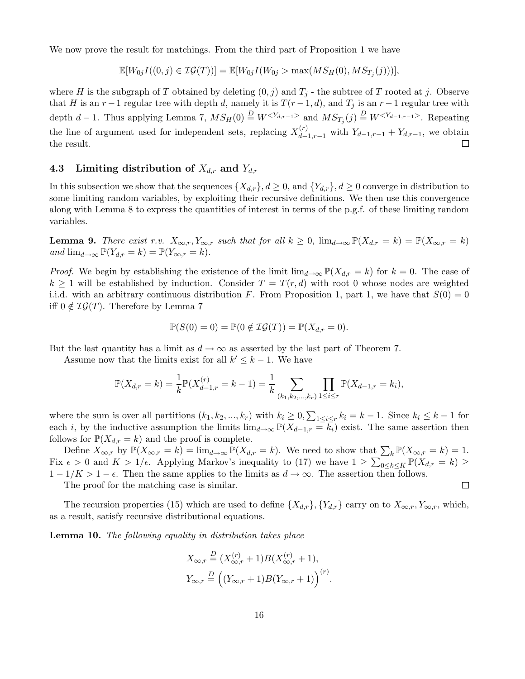We now prove the result for matchings. From the third part of Proposition 1 we have

$$
\mathbb{E}[W_{0j}I((0,j)\in \mathcal{IG}(T))] = \mathbb{E}[W_{0j}I(W_{0j} > \max(MS_H(0),MS_{T_j}(j)))],
$$

where H is the subgraph of T obtained by deleting  $(0, j)$  and  $T_i$  - the subtree of T rooted at j. Observe that H is an r – 1 regular tree with depth d, namely it is  $T(r-1, d)$ , and  $T_j$  is an r – 1 regular tree with depth d – 1. Thus applying Lemma 7,  $MS_H(0) \stackrel{D}{=} W^{}$  and  $MS_{T_j}(j) \stackrel{D}{=} W^{}$ . Repeating the line of argument used for independent sets, replacing  $X_{d-1,r-1}^{(r)}$  with  $Y_{d-1,r-1} + Y_{d,r-1}$ , we obtain the result.  $\Box$ 

# 4.3 Limiting distribution of  $X_{d,r}$  and  $Y_{d,r}$

In this subsection we show that the sequences  $\{X_{d,r}\}, d \geq 0$ , and  $\{Y_{d,r}\}, d \geq 0$  converge in distribution to some limiting random variables, by exploiting their recursive definitions. We then use this convergence along with Lemma 8 to express the quantities of interest in terms of the p.g.f. of these limiting random variables.

**Lemma 9.** There exist r.v.  $X_{\infty,r}$ ,  $Y_{\infty,r}$  such that for all  $k \geq 0$ ,  $\lim_{d\to\infty} \mathbb{P}(X_{d,r} = k) = \mathbb{P}(X_{\infty,r} = k)$ and  $\lim_{d\to\infty} \mathbb{P}(Y_{d,r} = k) = \mathbb{P}(Y_{\infty,r} = k).$ 

*Proof.* We begin by establishing the existence of the limit  $\lim_{d\to\infty} \mathbb{P}(X_{d,r} = k)$  for  $k = 0$ . The case of  $k \geq 1$  will be established by induction. Consider  $T = T(r, d)$  with root 0 whose nodes are weighted i.i.d. with an arbitrary continuous distribution F. From Proposition 1, part 1, we have that  $S(0) = 0$ iff  $0 \notin \mathcal{IG}(T)$ . Therefore by Lemma 7

$$
\mathbb{P}(S(0) = 0) = \mathbb{P}(0 \notin \mathcal{IG}(T)) = \mathbb{P}(X_{d,r} = 0).
$$

But the last quantity has a limit as  $d \to \infty$  as asserted by the last part of Theorem 7.

Assume now that the limits exist for all  $k' \leq k - 1$ . We have

$$
\mathbb{P}(X_{d,r}=k) = \frac{1}{k} \mathbb{P}(X_{d-1,r}^{(r)}=k-1) = \frac{1}{k} \sum_{(k_1,k_2,\ldots,k_r)} \prod_{1 \le i \le r} \mathbb{P}(X_{d-1,r}=k_i),
$$

where the sum is over all partitions  $(k_1, k_2, ..., k_r)$  with  $k_i \geq 0, \sum_{1 \leq i \leq r} k_i = k - 1$ . Since  $k_i \leq k - 1$  for each i, by the inductive assumption the limits  $\lim_{d\to\infty} \mathbb{P}(X_{d-1,r} = k_i)$  exist. The same assertion then follows for  $\mathbb{P}(X_{d,r} = k)$  and the proof is complete.

Define  $X_{\infty,r}$  by  $\mathbb{P}(X_{\infty,r} = k) = \lim_{d \to \infty} \mathbb{P}(X_{d,r} = k)$ . We need to show that  $\sum_{k} \mathbb{P}(X_{\infty,r} = k) = 1$ . Fix  $\epsilon > 0$  and  $K > 1/\epsilon$ . Applying Markov's inequality to (17) we have  $1 \ge \sum_{0 \le k \le K}^{\infty} \mathbb{P}(X_{d,r} = k) \ge$  $1-1/K > 1-\epsilon$ . Then the same applies to the limits as  $d \to \infty$ . The assertion then follows.  $\Box$ 

The proof for the matching case is similar.

The recursion properties (15) which are used to define  $\{X_{d,r}\}, \{Y_{d,r}\}$  carry on to  $X_{\infty,r}, Y_{\infty,r}$ , which, as a result, satisfy recursive distributional equations.

Lemma 10. The following equality in distribution takes place

$$
X_{\infty,r} \stackrel{D}{=} (X_{\infty,r}^{(r)} + 1)B(X_{\infty,r}^{(r)} + 1),
$$
  
\n
$$
Y_{\infty,r} \stackrel{D}{=} ((Y_{\infty,r} + 1)B(Y_{\infty,r} + 1))^{(r)}.
$$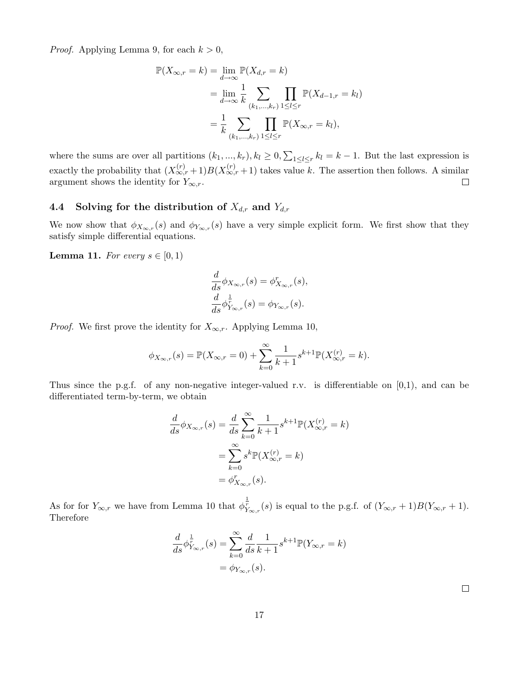*Proof.* Applying Lemma 9, for each  $k > 0$ ,

$$
\mathbb{P}(X_{\infty,r} = k) = \lim_{d \to \infty} \mathbb{P}(X_{d,r} = k)
$$
  
= 
$$
\lim_{d \to \infty} \frac{1}{k} \sum_{(k_1, \dots, k_r)} \prod_{1 \le l \le r} \mathbb{P}(X_{d-1,r} = k_l)
$$
  
= 
$$
\frac{1}{k} \sum_{(k_1, \dots, k_r)} \prod_{1 \le l \le r} \mathbb{P}(X_{\infty,r} = k_l),
$$

where the sums are over all partitions  $(k_1, ..., k_r)$ ,  $k_l \geq 0$ ,  $\sum_{1 \leq l \leq r} k_l = k - 1$ . But the last expression is exactly the probability that  $(X_{\infty,r}^{(r)}+1)B(X_{\infty,r}^{(r)}+1)$  takes value k. The assertion then follows. A similar argument shows the identity for  $Y_{\infty,r}$ .  $\Box$ 

#### 4.4 Solving for the distribution of  $X_{d,r}$  and  $Y_{d,r}$

We now show that  $\phi_{X_{\infty,r}}(s)$  and  $\phi_{Y_{\infty,r}}(s)$  have a very simple explicit form. We first show that they satisfy simple differential equations.

**Lemma 11.** For every  $s \in [0, 1)$ 

$$
\frac{d}{ds}\phi_{X_{\infty,r}}(s) = \phi_{X_{\infty,r}}^r(s),
$$
  

$$
\frac{d}{ds}\phi_{Y_{\infty,r}}^{\frac{1}{r}}(s) = \phi_{Y_{\infty,r}}(s).
$$

*Proof.* We first prove the identity for  $X_{\infty,r}$ . Applying Lemma 10,

$$
\phi_{X_{\infty,r}}(s) = \mathbb{P}(X_{\infty,r} = 0) + \sum_{k=0}^{\infty} \frac{1}{k+1} s^{k+1} \mathbb{P}(X_{\infty,r}^{(r)} = k).
$$

Thus since the p.g.f. of any non-negative integer-valued r.v. is differentiable on  $[0,1)$ , and can be differentiated term-by-term, we obtain

$$
\frac{d}{ds}\phi_{X_{\infty,r}}(s) = \frac{d}{ds}\sum_{k=0}^{\infty}\frac{1}{k+1}s^{k+1}\mathbb{P}(X_{\infty,r}^{(r)} = k)
$$

$$
= \sum_{k=0}^{\infty}s^k\mathbb{P}(X_{\infty,r}^{(r)} = k)
$$

$$
= \phi_{X_{\infty,r}}^r(s).
$$

As for for  $Y_{\infty,r}$  we have from Lemma 10 that  $\phi_{Y_{\infty,r}}^{\frac{1}{r}}(s)$  is equal to the p.g.f. of  $(Y_{\infty,r}+1)B(Y_{\infty,r}+1)$ . Therefore

$$
\frac{d}{ds}\phi_{Y_{\infty,r}}^{\frac{1}{r}}(s) = \sum_{k=0}^{\infty} \frac{d}{ds} \frac{1}{k+1} s^{k+1} \mathbb{P}(Y_{\infty,r} = k)
$$

$$
= \phi_{Y_{\infty,r}}(s).
$$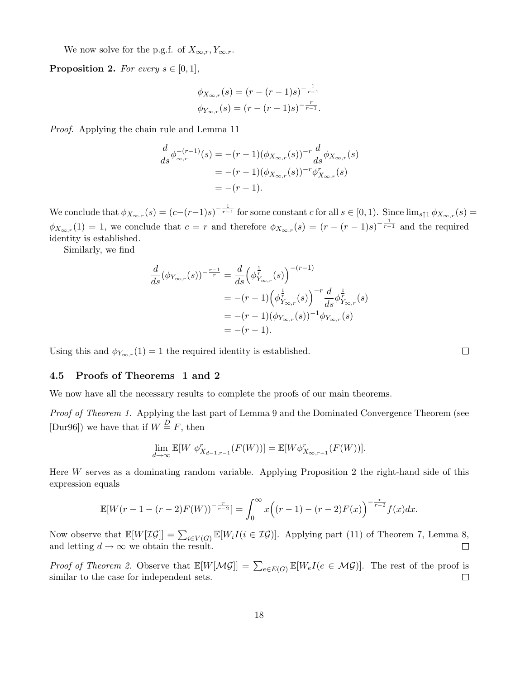We now solve for the p.g.f. of  $X_{\infty,r}$ ,  $Y_{\infty,r}$ .

**Proposition 2.** For every  $s \in [0,1]$ ,

$$
\phi_{X_{\infty,r}}(s) = (r - (r - 1)s)^{-\frac{1}{r-1}}
$$

$$
\phi_{Y_{\infty,r}}(s) = (r - (r - 1)s)^{-\frac{r}{r-1}}.
$$

Proof. Applying the chain rule and Lemma 11

$$
\frac{d}{ds} \phi_{\infty,r}^{-(r-1)}(s) = -(r-1)(\phi_{X_{\infty,r}}(s))^{-r} \frac{d}{ds} \phi_{X_{\infty,r}}(s)
$$
  
= -(r-1)( $\phi_{X_{\infty,r}}(s)$ )<sup>-r</sup> $\phi_{X_{\infty,r}}^r(s)$   
= -(r-1).

We conclude that  $\phi_{X_{\infty,r}}(s) = (c-(r-1)s)^{-\frac{1}{r-1}}$  for some constant  $c$  for all  $s \in [0,1)$ . Since  $\lim_{s \uparrow 1} \phi_{X_{\infty,r}}(s) =$  $\phi_{X_{\infty,r}}(1) = 1$ , we conclude that  $c = r$  and therefore  $\phi_{X_{\infty,r}}(s) = (r - (r - 1)s)^{-\frac{1}{r-1}}$  and the required identity is established.

Similarly, we find

$$
\frac{d}{ds}(\phi_{Y_{\infty,r}}(s))^{-\frac{r-1}{r}} = \frac{d}{ds} \left(\phi_{Y_{\infty,r}}^{\frac{1}{r}}(s)\right)^{-(r-1)} \n= -(r-1) \left(\phi_{Y_{\infty,r}}^{\frac{1}{r}}(s)\right)^{-r} \frac{d}{ds} \phi_{Y_{\infty,r}}^{\frac{1}{r}}(s) \n= -(r-1) (\phi_{Y_{\infty,r}}(s))^{-1} \phi_{Y_{\infty,r}}(s) \n= -(r-1).
$$

Using this and  $\phi_{Y_{\infty,r}}(1) = 1$  the required identity is established.

#### 4.5 Proofs of Theorems 1 and 2

We now have all the necessary results to complete the proofs of our main theorems.

Proof of Theorem 1. Applying the last part of Lemma 9 and the Dominated Convergence Theorem (see [Dur96]) we have that if  $W \stackrel{D}{=} F$ , then

$$
\lim_{d \to \infty} \mathbb{E}[W \; \phi_{X_{d-1,r-1}}^r(F(W))] = \mathbb{E}[W \phi_{X_{\infty,r-1}}^r(F(W))].
$$

Here W serves as a dominating random variable. Applying Proposition 2 the right-hand side of this expression equals

$$
\mathbb{E}[W(r-1-(r-2)F(W))^{-\frac{r}{r-2}}] = \int_0^\infty x\Big((r-1)-(r-2)F(x)\Big)^{-\frac{r}{r-2}}f(x)dx.
$$

Now observe that  $\mathbb{E}[W[\mathcal{IG}]] = \sum_{i \in V(G)} \mathbb{E}[W_i I(i \in \mathcal{IG})]$ . Applying part (11) of Theorem 7, Lemma 8, and letting  $d \to \infty$  we obtain the result.

*Proof of Theorem 2.* Observe that  $\mathbb{E}[W[\mathcal{MG}]] = \sum_{e \in E(G)} \mathbb{E}[W_e I(e \in \mathcal{MG})]$ . The rest of the proof is similar to the case for independent sets.

 $\Box$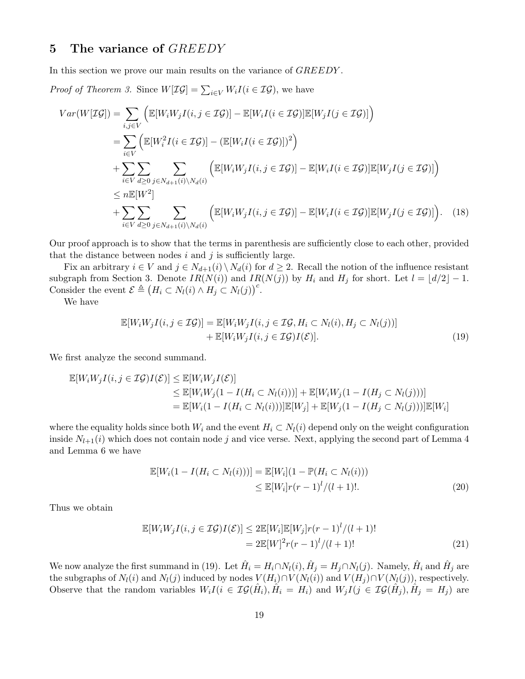# 5 The variance of GREEDY

In this section we prove our main results on the variance of  $GREEDY$ .

*Proof of Theorem 3.* Since  $W[\mathcal{IG}] = \sum_{i \in V} W_i I(i \in \mathcal{IG})$ , we have

$$
Var(W[\mathcal{IG}]) = \sum_{i,j \in V} \left( \mathbb{E}[W_i W_j I(i, j \in \mathcal{IG})] - \mathbb{E}[W_i I(i \in \mathcal{IG})] \mathbb{E}[W_j I(j \in \mathcal{IG})] \right)
$$
  
\n
$$
= \sum_{i \in V} \left( \mathbb{E}[W_i^2 I(i \in \mathcal{IG})] - (\mathbb{E}[W_i I(i \in \mathcal{IG})])^2 \right)
$$
  
\n
$$
+ \sum_{i \in V} \sum_{d \ge 0} \sum_{j \in N_{d+1}(i) \setminus N_d(i)} \left( \mathbb{E}[W_i W_j I(i, j \in \mathcal{IG})] - \mathbb{E}[W_i I(i \in \mathcal{IG})] \mathbb{E}[W_j I(j \in \mathcal{IG})] \right)
$$
  
\n
$$
\le n \mathbb{E}[W^2]
$$
  
\n
$$
+ \sum_{i \in V} \sum_{d \ge 0} \sum_{j \in N_{d+1}(i) \setminus N_d(i)} \left( \mathbb{E}[W_i W_j I(i, j \in \mathcal{IG})] - \mathbb{E}[W_i I(i \in \mathcal{IG})] \mathbb{E}[W_j I(j \in \mathcal{IG})] \right).
$$
 (18)

Our proof approach is to show that the terms in parenthesis are sufficiently close to each other, provided that the distance between nodes  $i$  and  $j$  is sufficiently large.

Fix an arbitrary  $i \in V$  and  $j \in N_{d+1}(i) \setminus N_d(i)$  for  $d \geq 2$ . Recall the notion of the influence resistant subgraph from Section 3. Denote  $IR(N(i))$  and  $IR(N(j))$  by  $H_i$  and  $H_j$  for short. Let  $l = |d/2|-1$ . Consider the event  $\mathcal{E} \triangleq (H_i \subset N_l(i) \wedge H_j \subset N_l(j))^c$ .

We have

$$
\mathbb{E}[W_i W_j I(i, j \in \mathcal{IG})] = \mathbb{E}[W_i W_j I(i, j \in \mathcal{IG}, H_i \subset N_l(i), H_j \subset N_l(j))]
$$
  
+ 
$$
\mathbb{E}[W_i W_j I(i, j \in \mathcal{IG}) I(\mathcal{E})].
$$
 (19)

We first analyze the second summand.

$$
\mathbb{E}[W_i W_j I(i, j \in \mathcal{IG}) I(\mathcal{E})] \leq \mathbb{E}[W_i W_j I(\mathcal{E})]
$$
  
\n
$$
\leq \mathbb{E}[W_i W_j (1 - I(H_i \subset N_l(i)))] + \mathbb{E}[W_i W_j (1 - I(H_j \subset N_l(j)))]
$$
  
\n
$$
= \mathbb{E}[W_i (1 - I(H_i \subset N_l(i)))] \mathbb{E}[W_j] + \mathbb{E}[W_j (1 - I(H_j \subset N_l(j)))] \mathbb{E}[W_i]
$$

where the equality holds since both  $W_i$  and the event  $H_i \subset N_l(i)$  depend only on the weight configuration inside  $N_{l+1}(i)$  which does not contain node j and vice verse. Next, applying the second part of Lemma 4 and Lemma 6 we have

$$
\mathbb{E}[W_i(1 - I(H_i \subset N_l(i)))] = \mathbb{E}[W_i](1 - \mathbb{P}(H_i \subset N_l(i)))
$$
  
\n
$$
\leq \mathbb{E}[W_i]r(r-1)^l/(l+1)!.
$$
\n(20)

Thus we obtain

$$
\mathbb{E}[W_i W_j I(i, j \in \mathcal{IG}) I(\mathcal{E})] \leq 2\mathbb{E}[W_i] \mathbb{E}[W_j] r(r-1)^l / (l+1)!
$$
  
= 
$$
2\mathbb{E}[W]^2 r(r-1)^l / (l+1)!
$$
 (21)

We now analyze the first summand in (19). Let  $\hat{H}_i = H_i \cap N_l(i)$ ,  $\hat{H}_j = H_j \cap N_l(j)$ . Namely,  $\hat{H}_i$  and  $\hat{H}_j$  are the subgraphs of  $N_l(i)$  and  $N_l(j)$  induced by nodes  $V(H_i) \cap V(N_l(i))$  and  $V(H_j) \cap V(N_l(j))$ , respectively. Observe that the random variables  $W_i I (i \in \mathcal{IG}(\hat{H}_i), \hat{H}_i = H_i)$  and  $W_j I (j \in \mathcal{IG}(\hat{H}_j), \hat{H}_j = H_j)$  are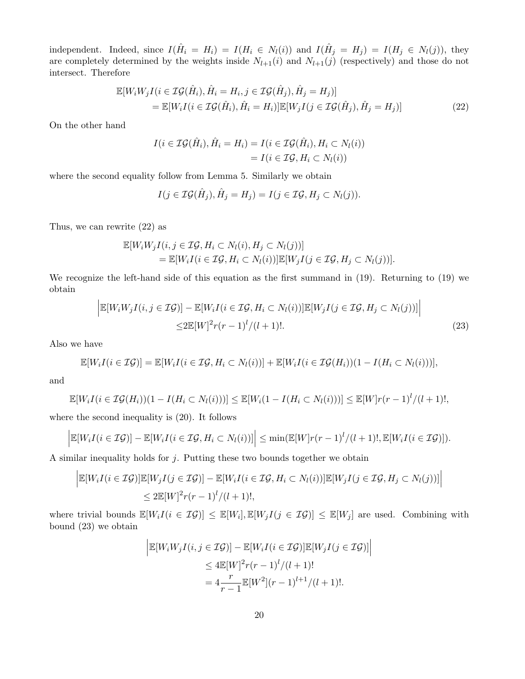independent. Indeed, since  $I(\hat{H}_i = H_i) = I(H_i \in N_l(i))$  and  $I(\hat{H}_j = H_j) = I(H_j \in N_l(j))$ , they are completely determined by the weights inside  $N_{l+1}(i)$  and  $N_{l+1}(j)$  (respectively) and those do not intersect. Therefore

$$
\mathbb{E}[W_i W_j I (i \in \mathcal{IG}(\hat{H}_i), \hat{H}_i = H_i, j \in \mathcal{IG}(\hat{H}_j), \hat{H}_j = H_j)]
$$
  
= 
$$
\mathbb{E}[W_i I (i \in \mathcal{IG}(\hat{H}_i), \hat{H}_i = H_i)] \mathbb{E}[W_j I (j \in \mathcal{IG}(\hat{H}_j), \hat{H}_j = H_j)]
$$
 (22)

On the other hand

$$
I(i \in \mathcal{IG}(\hat{H}_i), \hat{H}_i = H_i) = I(i \in \mathcal{IG}(\hat{H}_i), H_i \subset N_l(i))
$$
  
=  $I(i \in \mathcal{IG}, H_i \subset N_l(i))$ 

where the second equality follow from Lemma 5. Similarly we obtain

$$
I(j \in \mathcal{IG}(\hat{H}_j), \hat{H}_j = H_j) = I(j \in \mathcal{IG}, H_j \subset N_l(j)).
$$

Thus, we can rewrite (22) as

$$
\mathbb{E}[W_i W_j I(i, j \in \mathcal{IG}, H_i \subset N_l(i), H_j \subset N_l(j))]
$$
  
= 
$$
\mathbb{E}[W_i I(i \in \mathcal{IG}, H_i \subset N_l(i))] \mathbb{E}[W_j I(j \in \mathcal{IG}, H_j \subset N_l(j))].
$$

We recognize the left-hand side of this equation as the first summand in (19). Returning to (19) we obtain

$$
\left| \mathbb{E}[W_i W_j I(i, j \in \mathcal{IG})] - \mathbb{E}[W_i I(i \in \mathcal{IG}, H_i \subset N_l(i))] \mathbb{E}[W_j I(j \in \mathcal{IG}, H_j \subset N_l(j))] \right|
$$
  

$$
\leq 2 \mathbb{E}[W]^2 r(r-1)^l / (l+1)!.
$$
 (23)

Also we have

$$
\mathbb{E}[W_iI(i \in \mathcal{IG})] = \mathbb{E}[W_iI(i \in \mathcal{IG}, H_i \subset N_l(i))] + \mathbb{E}[W_iI(i \in \mathcal{IG}(H_i))(1 - I(H_i \subset N_l(i)))],
$$

and

$$
\mathbb{E}[W_iI(i \in \mathcal{IG}(H_i))(1 - I(H_i \subset N_l(i)))] \leq \mathbb{E}[W_i(1 - I(H_i \subset N_l(i)))] \leq \mathbb{E}[W]r(r-1)^l/(l+1)!,
$$

where the second inequality is (20). It follows

$$
\Big|\mathbb{E}[W_iI(i \in \mathcal{IG})] - \mathbb{E}[W_iI(i \in \mathcal{IG}, H_i \subset N_l(i))] \Big| \leq \min(\mathbb{E}[W]r(r-1)^l/(l+1)!, \mathbb{E}[W_iI(i \in \mathcal{IG})]).
$$

A similar inequality holds for  $j$ . Putting these two bounds together we obtain

$$
\Big| \mathbb{E}[W_i I(i \in \mathcal{IG})] \mathbb{E}[W_j I(j \in \mathcal{IG})] - \mathbb{E}[W_i I(i \in \mathcal{IG}, H_i \subset N_l(i))] \mathbb{E}[W_j I(j \in \mathcal{IG}, H_j \subset N_l(j))] \Big|
$$
  

$$
\leq 2 \mathbb{E}[W]^2 r(r-1)^l / (l+1)!,
$$

where trivial bounds  $\mathbb{E}[W_i I(i \in \mathcal{IG})] \leq \mathbb{E}[W_i], \mathbb{E}[W_j I(j \in \mathcal{IG})] \leq \mathbb{E}[W_j]$  are used. Combining with bound (23) we obtain

$$
\left| \mathbb{E}[W_i W_j I(i, j \in \mathcal{IG})] - \mathbb{E}[W_i I(i \in \mathcal{IG})] \mathbb{E}[W_j I(j \in \mathcal{IG})] \right|
$$
  
\n
$$
\leq 4 \mathbb{E}[W]^2 r(r-1)^l / (l+1)!
$$
  
\n
$$
= 4 \frac{r}{r-1} \mathbb{E}[W^2](r-1)^{l+1} / (l+1)!
$$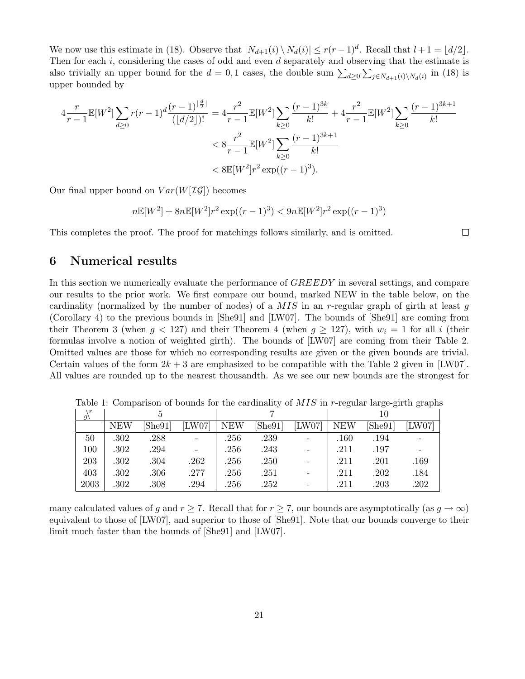We now use this estimate in (18). Observe that  $|N_{d+1}(i) \setminus N_d(i)| \leq r(r-1)^d$ . Recall that  $l+1 = \lfloor d/2 \rfloor$ . Then for each  $i$ , considering the cases of odd and even  $d$  separately and observing that the estimate is also trivially an upper bound for the  $d = 0, 1$  cases, the double sum  $\sum_{d\geq 0} \sum_{j\in N_{d+1}(i)\setminus N_d(i)}$  in (18) is upper bounded by

$$
4\frac{r}{r-1}\mathbb{E}[W^2]\sum_{d\geq 0}r(r-1)^d\frac{(r-1)^{\lfloor \frac{d}{2} \rfloor}}{(\lfloor d/2 \rfloor)!} = 4\frac{r^2}{r-1}\mathbb{E}[W^2]\sum_{k\geq 0}\frac{(r-1)^{3k}}{k!} + 4\frac{r^2}{r-1}\mathbb{E}[W^2]\sum_{k\geq 0}\frac{(r-1)^{3k+1}}{k!}
$$
  
<  $8\frac{r^2}{r-1}\mathbb{E}[W^2]\sum_{k\geq 0}\frac{(r-1)^{3k+1}}{k!}$   
<  $8\mathbb{E}[W^2]r^2\exp((r-1)^3).$ 

Our final upper bound on  $Var(W[\mathcal{IG}])$  becomes

$$
n\mathbb{E}[W^2] + 8n\mathbb{E}[W^2]r^2 \exp((r-1)^3) < 9n\mathbb{E}[W^2]r^2 \exp((r-1)^3)
$$

 $\Box$ 

This completes the proof. The proof for matchings follows similarly, and is omitted.

# 6 Numerical results

In this section we numerically evaluate the performance of GREEDY in several settings, and compare our results to the prior work. We first compare our bound, marked NEW in the table below, on the cardinality (normalized by the number of nodes) of a  $MIS$  in an r-regular graph of girth at least g (Corollary 4) to the previous bounds in [She91] and [LW07]. The bounds of [She91] are coming from their Theorem 3 (when  $g < 127$ ) and their Theorem 4 (when  $g \ge 127$ ), with  $w_i = 1$  for all i (their formulas involve a notion of weighted girth). The bounds of [LW07] are coming from their Table 2. Omitted values are those for which no corresponding results are given or the given bounds are trivial. Certain values of the form  $2k + 3$  are emphasized to be compatible with the Table 2 given in [LW07]. All values are rounded up to the nearest thousandth. As we see our new bounds are the strongest for

Table 1: Comparison of bounds for the cardinality of  $MIS$  in r-regular large-girth graphs

| $g\setminus$ |            |                  |                   |            |         | 10     |            |         |        |
|--------------|------------|------------------|-------------------|------------|---------|--------|------------|---------|--------|
|              | <b>NEW</b> | $[\text{She91}]$ | [LW07]            | <b>NEW</b> | [She91] | [LW07] | <b>NEW</b> | [She91] | [LW07] |
| 50           | .302       | .288             | $\qquad \qquad -$ | .256       | .239    |        | .160       | .194    |        |
| 100          | .302       | .294             | -                 | .256       | .243    |        | .211       | .197    |        |
| 203          | .302       | .304             | .262              | .256       | .250    |        | .211       | .201    | .169   |
| 403          | .302       | .306             | .277              | .256       | .251    |        | .211       | .202    | .184   |
| 2003         | .302       | .308             | .294              | .256       | .252    |        | .211       | .203    | .202   |

many calculated values of g and  $r \geq 7$ . Recall that for  $r \geq 7$ , our bounds are asymptotically (as  $g \to \infty$ ) equivalent to those of [LW07], and superior to those of [She91]. Note that our bounds converge to their limit much faster than the bounds of [She91] and [LW07].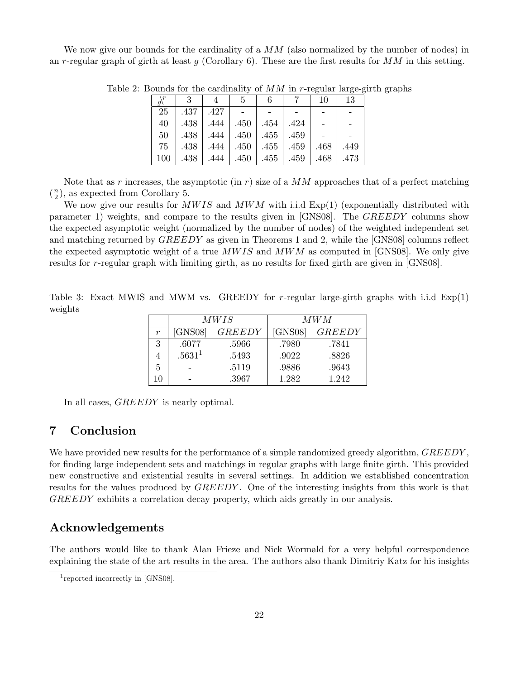We now give our bounds for the cardinality of a  $MM$  (also normalized by the number of nodes) in an r-regular graph of girth at least  $g$  (Corollary 6). These are the first results for  $MM$  in this setting.

| $g\setminus$ | -3   |      | -5   |                          |      | 10   | 13   |
|--------------|------|------|------|--------------------------|------|------|------|
| 25           | .437 | .427 |      |                          |      |      |      |
| 40           | .438 | .444 | .450 | .454                     | .424 |      |      |
| 50           | .438 | .444 |      | $.450$   $.455$          | .459 |      |      |
| 75           | .438 | .444 |      | $.450$   $.455$   $.459$ |      | .468 | .449 |
| 100          | .438 | .444 |      | $.450$   $.455$          | .459 | .468 | .473 |

Table 2: Bounds for the cardinality of  $MM$  in r-regular large-girth graphs

Note that as r increases, the asymptotic (in r) size of a  $MM$  approaches that of a perfect matching  $\left(\frac{n}{2}\right)$  $\frac{n}{2}$ , as expected from Corollary 5.

We now give our results for  $MWIS$  and  $MWM$  with i.i.d  $Exp(1)$  (exponentially distributed with parameter 1) weights, and compare to the results given in [GNS08]. The GREEDY columns show the expected asymptotic weight (normalized by the number of nodes) of the weighted independent set and matching returned by GREEDY as given in Theorems 1 and 2, while the [GNS08] columns reflect the expected asymptotic weight of a true  $MWIS$  and  $MWM$  as computed in [GNS08]. We only give results for r-regular graph with limiting girth, as no results for fixed girth are given in [GNS08].

Table 3: Exact MWIS and MWM vs. GREEDY for r-regular large-girth graphs with i.i.d Exp(1) weights

|   |                    | <i>MWIS</i>   | MWM     |                      |  |
|---|--------------------|---------------|---------|----------------------|--|
| r | [GNS08]            | <b>GREEDY</b> | [GNS08] | <i><b>GREEDY</b></i> |  |
|   | .6077              | .5966         | .7980   | .7841                |  |
|   | .5631 <sup>1</sup> | .5493         | .9022   | .8826                |  |
| 5 |                    | .5119         | .9886   | .9643                |  |
|   |                    | .3967         | 1.282   | 1.242                |  |

In all cases, *GREEDY* is nearly optimal.

# 7 Conclusion

We have provided new results for the performance of a simple randomized greedy algorithm,  $GREEDY$ , for finding large independent sets and matchings in regular graphs with large finite girth. This provided new constructive and existential results in several settings. In addition we established concentration results for the values produced by *GREEDY*. One of the interesting insights from this work is that GREEDY exhibits a correlation decay property, which aids greatly in our analysis.

# Acknowledgements

The authors would like to thank Alan Frieze and Nick Wormald for a very helpful correspondence explaining the state of the art results in the area. The authors also thank Dimitriy Katz for his insights

<sup>&</sup>lt;sup>1</sup>reported incorrectly in [GNS08].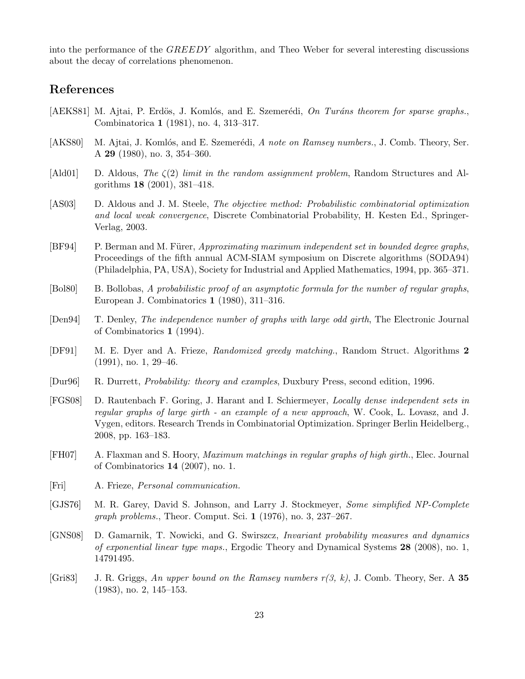into the performance of the GREEDY algorithm, and Theo Weber for several interesting discussions about the decay of correlations phenomenon.

# References

- [AEKS81] M. Ajtai, P. Erdös, J. Komlós, and E. Szemerédi, *On Turáns theorem for sparse graphs.*, Combinatorica 1 (1981), no. 4, 313–317.
- [AKS80] M. Ajtai, J. Komlós, and E. Szemerédi, A note on Ramsey numbers., J. Comb. Theory, Ser. A 29 (1980), no. 3, 354–360.
- [Ald01] D. Aldous, The  $\zeta(2)$  limit in the random assignment problem, Random Structures and Algorithms 18 (2001), 381–418.
- [AS03] D. Aldous and J. M. Steele, The objective method: Probabilistic combinatorial optimization and local weak convergence, Discrete Combinatorial Probability, H. Kesten Ed., Springer-Verlag, 2003.
- [BF94] P. Berman and M. Fürer, Approximating maximum independent set in bounded degree graphs, Proceedings of the fifth annual ACM-SIAM symposium on Discrete algorithms (SODA94) (Philadelphia, PA, USA), Society for Industrial and Applied Mathematics, 1994, pp. 365–371.
- [Bol80] B. Bollobas, A probabilistic proof of an asymptotic formula for the number of regular graphs, European J. Combinatorics 1 (1980), 311–316.
- [Den94] T. Denley, The independence number of graphs with large odd girth, The Electronic Journal of Combinatorics 1 (1994).
- [DF91] M. E. Dyer and A. Frieze, Randomized greedy matching., Random Struct. Algorithms 2 (1991), no. 1, 29–46.
- [Dur96] R. Durrett, Probability: theory and examples, Duxbury Press, second edition, 1996.
- [FGS08] D. Rautenbach F. Goring, J. Harant and I. Schiermeyer, Locally dense independent sets in regular graphs of large girth - an example of a new approach, W. Cook, L. Lovasz, and J. Vygen, editors. Research Trends in Combinatorial Optimization. Springer Berlin Heidelberg., 2008, pp. 163–183.
- [FH07] A. Flaxman and S. Hoory, Maximum matchings in regular graphs of high girth., Elec. Journal of Combinatorics 14 (2007), no. 1.
- [Fri] A. Frieze, Personal communication.
- [GJS76] M. R. Garey, David S. Johnson, and Larry J. Stockmeyer, Some simplified NP-Complete graph problems., Theor. Comput. Sci. 1 (1976), no. 3, 237–267.
- [GNS08] D. Gamarnik, T. Nowicki, and G. Swirszcz, Invariant probability measures and dynamics of exponential linear type maps., Ergodic Theory and Dynamical Systems 28 (2008), no. 1, 14791495.
- [Gri83] J. R. Griggs, An upper bound on the Ramsey numbers  $r(3, k)$ , J. Comb. Theory, Ser. A 35 (1983), no. 2, 145–153.